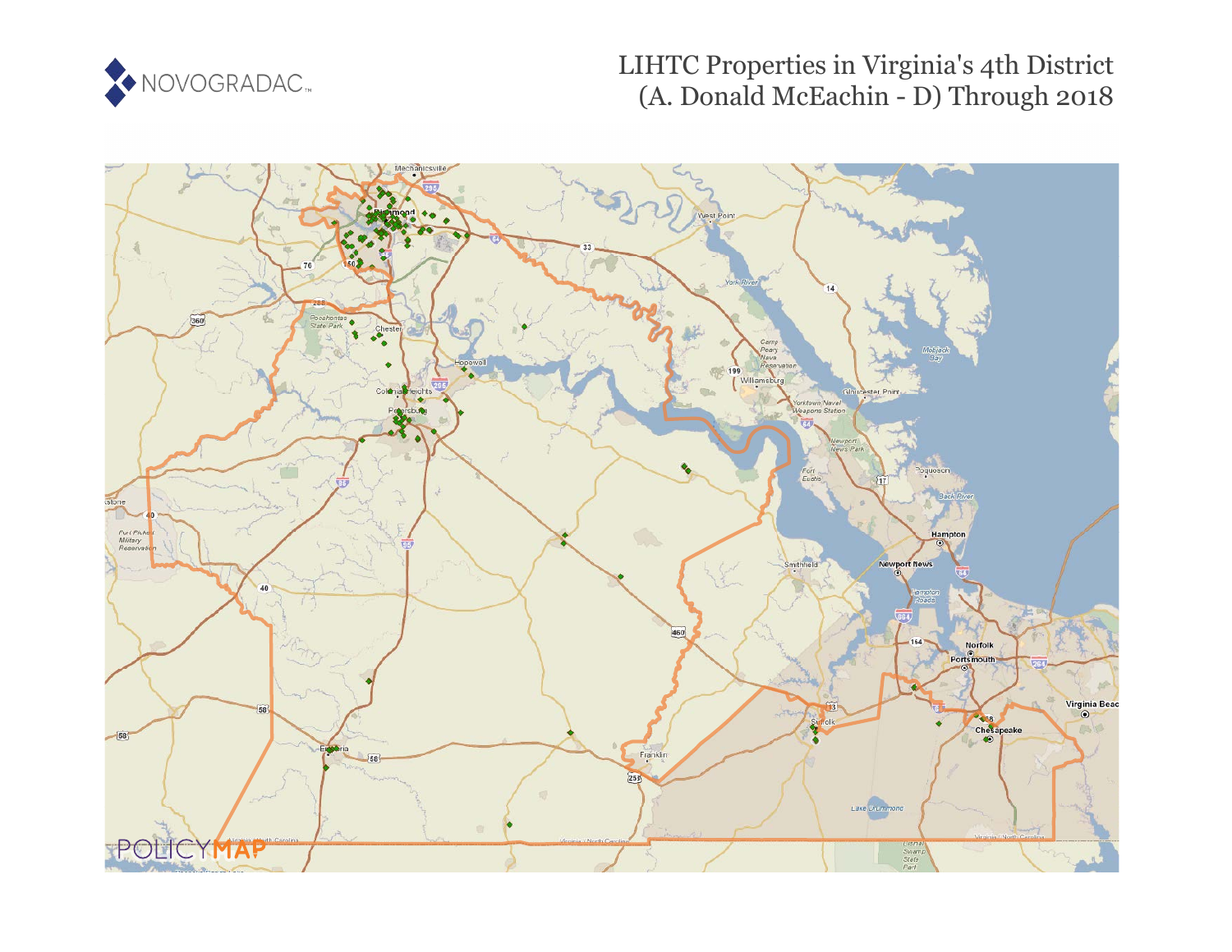

# LIHTC Properties in Virginia's 4th District (A. Donald McEachin - D) Through 2018

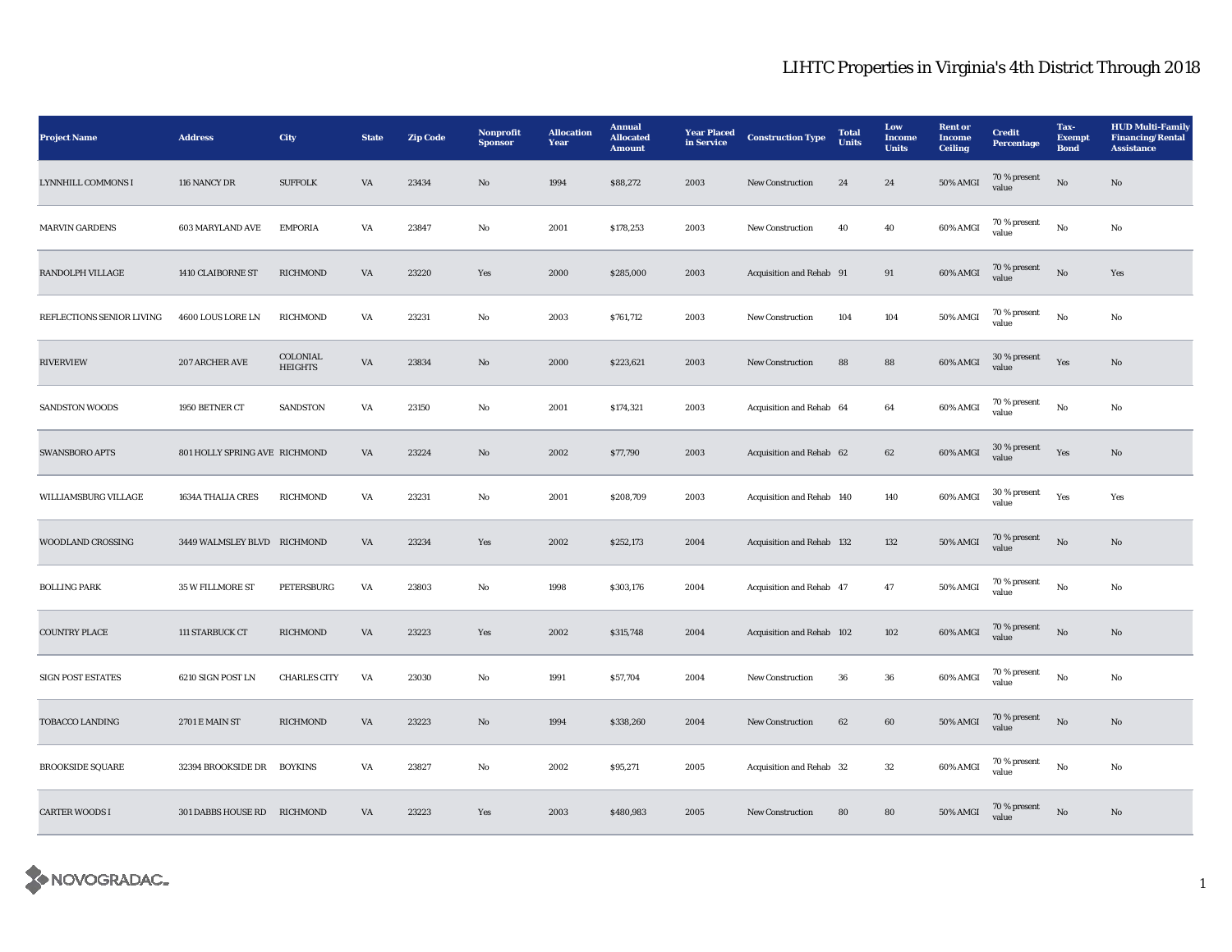| <b>Project Name</b>       | <b>Address</b>                | City                       | <b>State</b>           | <b>Zip Code</b> | Nonprofit<br><b>Sponsor</b> | <b>Allocation</b><br>Year | <b>Annual</b><br><b>Allocated</b><br><b>Amount</b> | <b>Year Placed</b><br>in Service | <b>Construction Type</b>  | <b>Total</b><br>Units | Low<br>Income<br><b>Units</b> | <b>Rent</b> or<br><b>Income</b><br><b>Ceiling</b> | <b>Credit</b><br><b>Percentage</b> | Tax-<br><b>Exempt</b><br><b>Bond</b> | <b>HUD Multi-Family</b><br><b>Financing/Rental</b><br><b>Assistance</b> |
|---------------------------|-------------------------------|----------------------------|------------------------|-----------------|-----------------------------|---------------------------|----------------------------------------------------|----------------------------------|---------------------------|-----------------------|-------------------------------|---------------------------------------------------|------------------------------------|--------------------------------------|-------------------------------------------------------------------------|
| LYNNHILL COMMONS I        | 116 NANCY DR                  | <b>SUFFOLK</b>             | VA                     | 23434           | $\mathbf{N}\mathbf{o}$      | 1994                      | \$88,272                                           | 2003                             | New Construction          | 24                    | 24                            | <b>50% AMGI</b>                                   | 70 % present<br>value              | $\rm No$                             | No                                                                      |
| <b>MARVIN GARDENS</b>     | <b>603 MARYLAND AVE</b>       | <b>EMPORIA</b>             | VA                     | 23847           | No                          | 2001                      | \$178,253                                          | 2003                             | <b>New Construction</b>   | 40                    | 40                            | 60% AMGI                                          | 70 % present<br>value              | No                                   | No                                                                      |
| RANDOLPH VILLAGE          | 1410 CLAIBORNE ST             | <b>RICHMOND</b>            | $\mathbf{V}\mathbf{A}$ | 23220           | Yes                         | 2000                      | \$285,000                                          | 2003                             | Acquisition and Rehab 91  |                       | 91                            | 60% AMGI                                          | 70 % present<br>value              | $_{\rm No}$                          | Yes                                                                     |
| REFLECTIONS SENIOR LIVING | 4600 LOUS LORE LN             | <b>RICHMOND</b>            | VA                     | 23231           | No                          | 2003                      | \$761,712                                          | 2003                             | New Construction          | 104                   | 104                           | 50% AMGI                                          | 70 % present<br>value              | $_{\rm No}$                          | No                                                                      |
| <b>RIVERVIEW</b>          | 207 ARCHER AVE                | COLONIAL<br><b>HEIGHTS</b> | VA                     | 23834           | No                          | 2000                      | \$223,621                                          | 2003                             | New Construction          | 88                    | 88                            | 60% AMGI                                          | $30\,\%$ present<br>value          | Yes                                  | $\mathbf{N}\mathbf{o}$                                                  |
| <b>SANDSTON WOODS</b>     | 1950 BETNER CT                | SANDSTON                   | VA                     | 23150           | No                          | 2001                      | \$174,321                                          | 2003                             | Acquisition and Rehab 64  |                       | 64                            | 60% AMGI                                          | $70\,\%$ present<br>value          | $_{\rm No}$                          | $\mathbf{No}$                                                           |
| SWANSBORO APTS            | 801 HOLLY SPRING AVE RICHMOND |                            | VA                     | 23224           | No                          | 2002                      | \$77,790                                           | 2003                             | Acquisition and Rehab 62  |                       | 62                            | 60% AMGI                                          | 30 % present<br>value              | Yes                                  | No                                                                      |
| WILLIAMSBURG VILLAGE      | 1634A THALIA CRES             | <b>RICHMOND</b>            | VA                     | 23231           | No                          | 2001                      | \$208,709                                          | 2003                             | Acquisition and Rehab 140 |                       | 140                           | 60% AMGI                                          | 30 % present<br>value              | Yes                                  | Yes                                                                     |
| WOODLAND CROSSING         | 3449 WALMSLEY BLVD RICHMOND   |                            | VA                     | 23234           | Yes                         | 2002                      | \$252,173                                          | 2004                             | Acquisition and Rehab 132 |                       | 132                           | 50% AMGI                                          | 70 % present<br>value              | $\rm No$                             | No                                                                      |
| <b>BOLLING PARK</b>       | 35 W FILLMORE ST              | PETERSBURG                 | VA                     | 23803           | No                          | 1998                      | \$303,176                                          | 2004                             | Acquisition and Rehab 47  |                       | 47                            | 50% AMGI                                          | 70 % present<br>value              | No                                   | No                                                                      |
| <b>COUNTRY PLACE</b>      | 111 STARBUCK CT               | <b>RICHMOND</b>            | VA                     | 23223           | Yes                         | 2002                      | \$315,748                                          | 2004                             | Acquisition and Rehab 102 |                       | 102                           | 60% AMGI                                          | 70 % present<br>value              | $\rm No$                             | No                                                                      |
| <b>SIGN POST ESTATES</b>  | 6210 SIGN POST LN             | <b>CHARLES CITY</b>        | VA                     | 23030           | No                          | 1991                      | \$57,704                                           | 2004                             | New Construction          | 36                    | ${\bf 36}$                    | 60% AMGI                                          | 70 % present<br>value              | $\rm No$                             | No                                                                      |
| TOBACCO LANDING           | 2701 E MAIN ST                | <b>RICHMOND</b>            | VA                     | 23223           | $\mathbf{No}$               | 1994                      | \$338,260                                          | 2004                             | New Construction          | 62                    | 60                            | <b>50% AMGI</b>                                   | 70 % present<br>value              | No                                   | $\mathbf{N}\mathbf{o}$                                                  |
| <b>BROOKSIDE SQUARE</b>   | 32394 BROOKSIDE DR            | <b>BOYKINS</b>             | VA                     | 23827           | No                          | 2002                      | \$95,271                                           | 2005                             | Acquisition and Rehab 32  |                       | 32                            | 60% AMGI                                          | 70 % present<br>value              | No                                   | No                                                                      |
| <b>CARTER WOODS I</b>     | 301 DABBS HOUSE RD RICHMOND   |                            | VA                     | 23223           | Yes                         | 2003                      | \$480,983                                          | 2005                             | <b>New Construction</b>   | 80                    | 80                            | 50% AMGI                                          | 70 % present<br>value              | No                                   | No                                                                      |

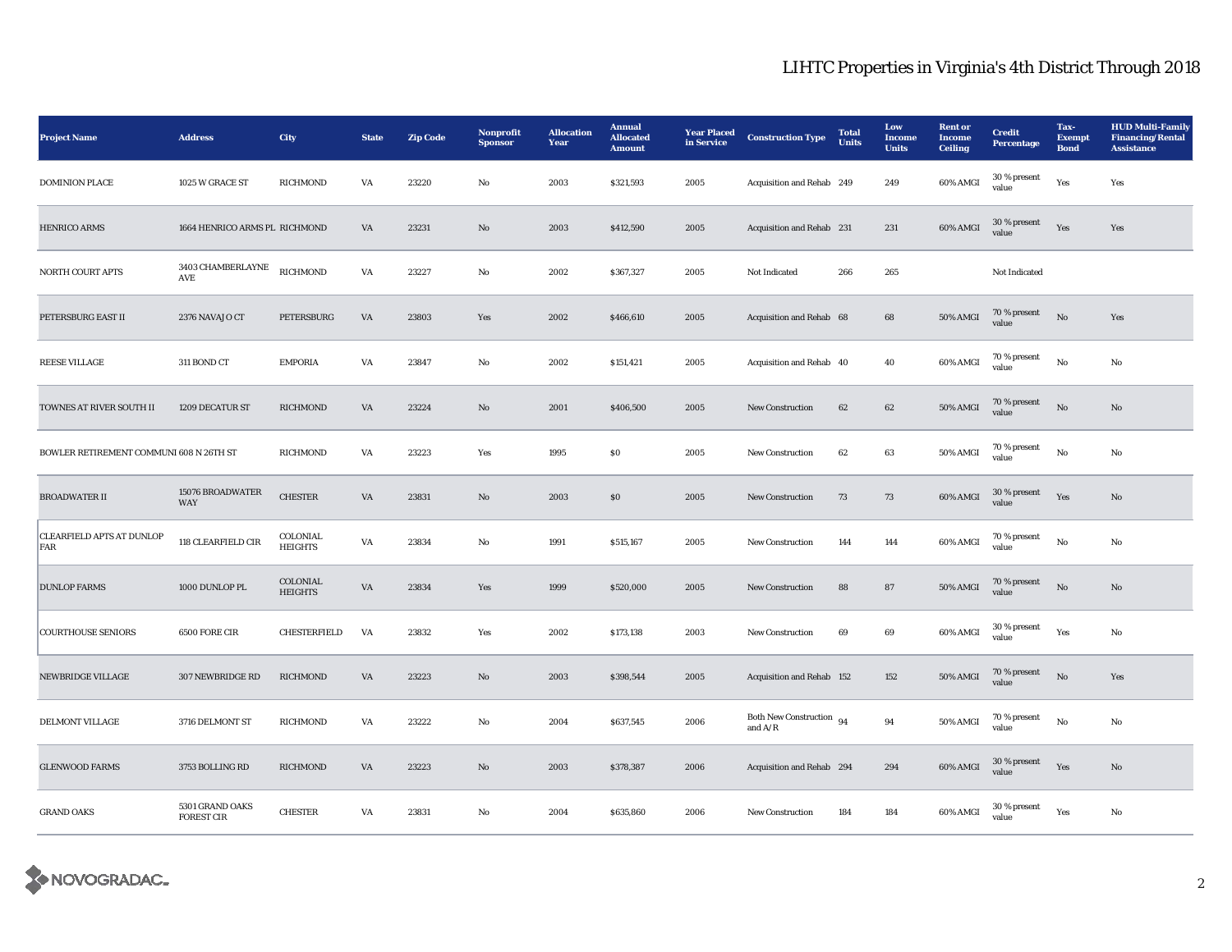| <b>Project Name</b>                     | <b>Address</b>                       | City                       | <b>State</b>           | <b>Zip Code</b> | Nonprofit<br><b>Sponsor</b> | <b>Allocation</b><br>Year | <b>Annual</b><br><b>Allocated</b><br><b>Amount</b> | <b>Year Placed</b><br>in Service | <b>Construction Type</b>                | <b>Total</b><br>Units | Low<br>Income<br><b>Units</b> | <b>Rent or</b><br><b>Income</b><br><b>Ceiling</b> | <b>Credit</b><br>Percentage | Tax-<br><b>Exempt</b><br><b>Bond</b> | <b>HUD Multi-Family</b><br><b>Financing/Rental</b><br><b>Assistance</b> |
|-----------------------------------------|--------------------------------------|----------------------------|------------------------|-----------------|-----------------------------|---------------------------|----------------------------------------------------|----------------------------------|-----------------------------------------|-----------------------|-------------------------------|---------------------------------------------------|-----------------------------|--------------------------------------|-------------------------------------------------------------------------|
| <b>DOMINION PLACE</b>                   | 1025 W GRACE ST                      | <b>RICHMOND</b>            | VA                     | 23220           | No                          | 2003                      | \$321,593                                          | 2005                             | Acquisition and Rehab 249               |                       | 249                           | 60% AMGI                                          | 30 % present<br>value       | Yes                                  | Yes                                                                     |
| <b>HENRICO ARMS</b>                     | 1664 HENRICO ARMS PL RICHMOND        |                            | VA                     | 23231           | $\mathbf{N}\mathbf{o}$      | 2003                      | \$412,590                                          | 2005                             | Acquisition and Rehab 231               |                       | 231                           | 60% AMGI                                          | $30$ % present<br>value     | Yes                                  | Yes                                                                     |
| NORTH COURT APTS                        | $3403$ CHAMBERLAYNE<br>AVE           | <b>RICHMOND</b>            | VA                     | 23227           | No                          | 2002                      | \$367,327                                          | 2005                             | Not Indicated                           | 266                   | 265                           |                                                   | Not Indicated               |                                      |                                                                         |
| PETERSBURG EAST II                      | 2376 NAVAJO CT                       | PETERSBURG                 | VA                     | 23803           | Yes                         | 2002                      | \$466,610                                          | 2005                             | Acquisition and Rehab 68                |                       | 68                            | <b>50% AMGI</b>                                   | 70 % present<br>value       | $\rm No$                             | Yes                                                                     |
| <b>REESE VILLAGE</b>                    | 311 BOND CT                          | <b>EMPORIA</b>             | VA                     | 23847           | No                          | 2002                      | \$151,421                                          | 2005                             | Acquisition and Rehab 40                |                       | 40                            | 60% AMGI                                          | 70 % present<br>value       | $\rm No$                             | No                                                                      |
| TOWNES AT RIVER SOUTH II                | 1209 DECATUR ST                      | <b>RICHMOND</b>            | VA                     | 23224           | $\mathbf{N}\mathbf{o}$      | 2001                      | \$406,500                                          | 2005                             | New Construction                        | 62                    | 62                            | 50% AMGI                                          | 70 % present<br>value       | No                                   | $\mathbf{N}\mathbf{o}$                                                  |
| BOWLER RETIREMENT COMMUNI 608 N 26TH ST |                                      | <b>RICHMOND</b>            | VA                     | 23223           | Yes                         | 1995                      | $\boldsymbol{\mathsf{S}}\boldsymbol{\mathsf{0}}$   | 2005                             | New Construction                        | 62                    | 63                            | 50% AMGI                                          | 70 % present<br>value       | No                                   | No                                                                      |
| <b>BROADWATER II</b>                    | 15076 BROADWATER<br>WAY              | <b>CHESTER</b>             | $\mathbf{V}\mathbf{A}$ | 23831           | $\mathbf{N}\mathbf{o}$      | 2003                      | $\$0$                                              | 2005                             | New Construction                        | $73\,$                | 73                            | 60% AMGI                                          | 30 % present<br>value       | Yes                                  | $\mathbf{N}\mathbf{o}$                                                  |
| <b>CLEARFIELD APTS AT DUNLOP</b><br>FAR | 118 CLEARFIELD CIR                   | COLONIAL<br><b>HEIGHTS</b> | VA                     | 23834           | No                          | 1991                      | \$515,167                                          | 2005                             | <b>New Construction</b>                 | 144                   | 144                           | 60% AMGI                                          | 70 % present<br>value       | $\mathbf{No}$                        | No                                                                      |
| <b>DUNLOP FARMS</b>                     | 1000 DUNLOP PL                       | COLONIAL<br><b>HEIGHTS</b> | $\mathbf{V}\mathbf{A}$ | 23834           | Yes                         | 1999                      | \$520,000                                          | 2005                             | <b>New Construction</b>                 | 88                    | 87                            | 50% AMGI                                          | 70 % present<br>value       | No                                   | No                                                                      |
| <b>COURTHOUSE SENIORS</b>               | 6500 FORE CIR                        | CHESTERFIELD               | VA                     | 23832           | Yes                         | 2002                      | \$173,138                                          | 2003                             | <b>New Construction</b>                 | 69                    | 69                            | 60% AMGI                                          | 30 % present<br>value       | Yes                                  | No                                                                      |
| NEWBRIDGE VILLAGE                       | 307 NEWBRIDGE RD                     | <b>RICHMOND</b>            | VA                     | 23223           | $\mathbf{N}\mathbf{o}$      | 2003                      | \$398,544                                          | 2005                             | Acquisition and Rehab 152               |                       | 152                           | 50% AMGI                                          | $70\,\%$ present<br>value   | $\rm No$                             | Yes                                                                     |
| DELMONT VILLAGE                         | 3716 DELMONT ST                      | <b>RICHMOND</b>            | VA                     | 23222           | No                          | 2004                      | \$637,545                                          | 2006                             | Both New Construction $94$<br>and $A/R$ |                       | 94                            | 50% AMGI                                          | 70 % present<br>value       | No                                   | No                                                                      |
| <b>GLENWOOD FARMS</b>                   | 3753 BOLLING RD                      | <b>RICHMOND</b>            | VA                     | 23223           | $\mathbf{N}\mathbf{o}$      | 2003                      | \$378,387                                          | 2006                             | Acquisition and Rehab 294               |                       | 294                           | 60% AMGI                                          | 30 % present<br>value       | Yes                                  | $\mathbf{N}\mathbf{o}$                                                  |
| <b>GRAND OAKS</b>                       | 5301 GRAND OAKS<br><b>FOREST CIR</b> | <b>CHESTER</b>             | VA                     | 23831           | No                          | 2004                      | \$635,860                                          | 2006                             | <b>New Construction</b>                 | 184                   | 184                           | 60% AMGI                                          | 30 % present<br>value       | Yes                                  | No                                                                      |

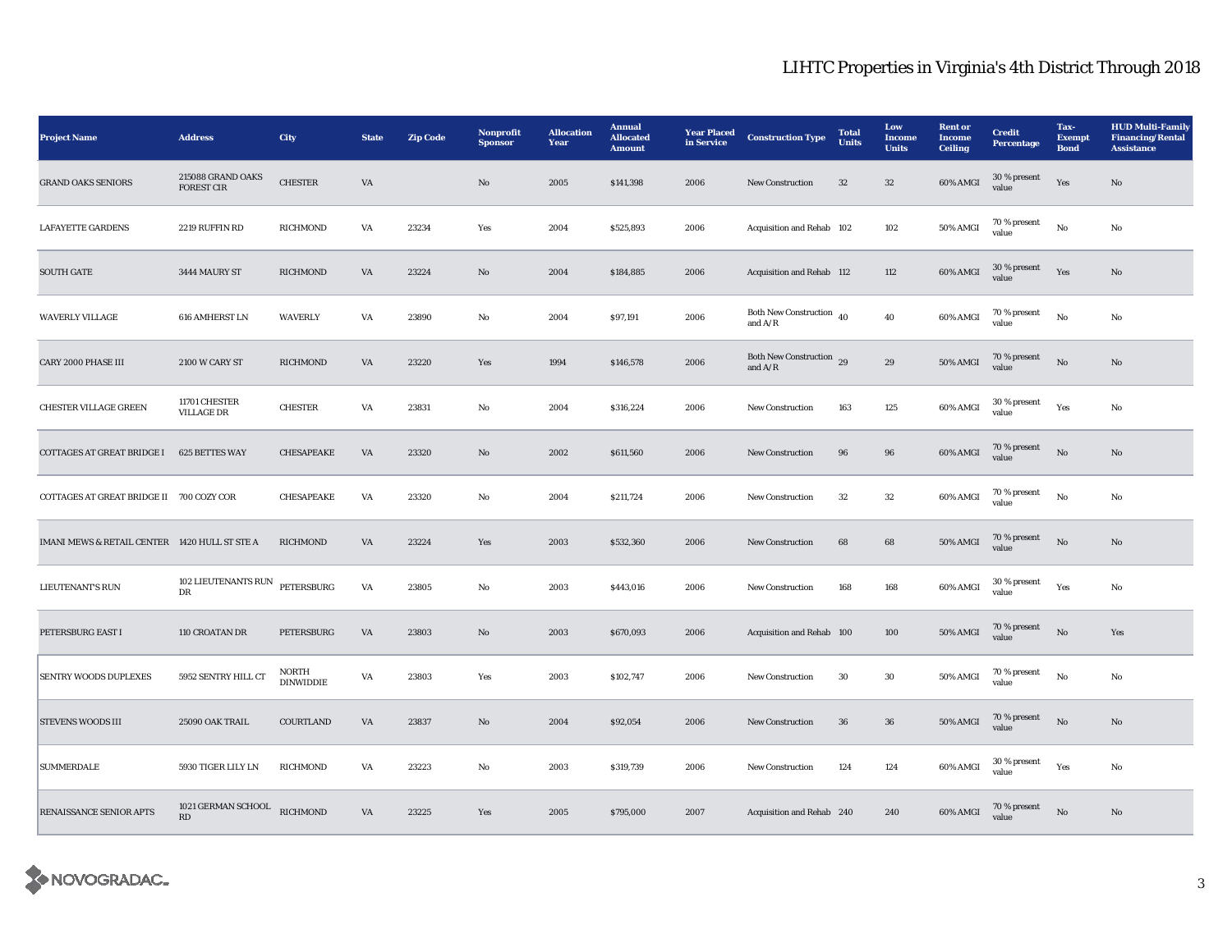| <b>Project Name</b>                           | <b>Address</b>                         | City                             | <b>State</b>           | <b>Zip Code</b> | Nonprofit<br><b>Sponsor</b> | <b>Allocation</b><br>Year | <b>Annual</b><br><b>Allocated</b><br><b>Amount</b> | <b>Year Placed</b><br>in Service | <b>Construction Type</b>                                     | <b>Total</b><br><b>Units</b> | Low<br>Income<br><b>Units</b> | <b>Rent</b> or<br><b>Income</b><br><b>Ceiling</b> | <b>Credit</b><br>Percentage  | Tax-<br><b>Exempt</b><br><b>Bond</b> | <b>HUD Multi-Family</b><br><b>Financing/Rental</b><br><b>Assistance</b> |
|-----------------------------------------------|----------------------------------------|----------------------------------|------------------------|-----------------|-----------------------------|---------------------------|----------------------------------------------------|----------------------------------|--------------------------------------------------------------|------------------------------|-------------------------------|---------------------------------------------------|------------------------------|--------------------------------------|-------------------------------------------------------------------------|
| <b>GRAND OAKS SENIORS</b>                     | 215088 GRAND OAKS<br><b>FOREST CIR</b> | <b>CHESTER</b>                   | VA                     |                 | No                          | 2005                      | \$141,398                                          | 2006                             | New Construction                                             | 32                           | $32\,$                        | 60% AMGI                                          | 30 % present<br>value        | Yes                                  | No                                                                      |
| <b>LAFAYETTE GARDENS</b>                      | 2219 RUFFIN RD                         | <b>RICHMOND</b>                  | VA                     | 23234           | Yes                         | 2004                      | \$525,893                                          | 2006                             | Acquisition and Rehab 102                                    |                              | 102                           | 50% AMGI                                          | $70\,\%$ present<br>value    | No                                   | No                                                                      |
| <b>SOUTH GATE</b>                             | 3444 MAURY ST                          | <b>RICHMOND</b>                  | VA                     | 23224           | $\mathbf{N}\mathbf{o}$      | 2004                      | \$184,885                                          | 2006                             | Acquisition and Rehab 112                                    |                              | 112                           | 60% AMGI                                          | 30 % present<br>value        | Yes                                  | No                                                                      |
| <b>WAVERLY VILLAGE</b>                        | 616 AMHERST LN                         | <b>WAVERLY</b>                   | VA                     | 23890           | No                          | 2004                      | \$97,191                                           | 2006                             | Both New Construction $_{40}$<br>and $\mathrm{A}/\mathrm{R}$ |                              | 40                            | 60% AMGI                                          | 70 % present<br>value        | $\mathbf{No}$                        | No                                                                      |
| <b>CARY 2000 PHASE III</b>                    | 2100 W CARY ST                         | <b>RICHMOND</b>                  | VA                     | 23220           | Yes                         | 1994                      | \$146,578                                          | 2006                             | Both New Construction 29<br>and $A/R$                        |                              | $\bf 29$                      | 50% AMGI                                          | 70 % present<br>value        | $\rm No$                             | No                                                                      |
| <b>CHESTER VILLAGE GREEN</b>                  | 11701 CHESTER<br><b>VILLAGE DR</b>     | <b>CHESTER</b>                   | $\mathbf{V}\mathbf{A}$ | 23831           | $_{\rm No}$                 | 2004                      | \$316,224                                          | 2006                             | New Construction                                             | 163                          | 125                           | 60% AMGI                                          | 30 % present<br>value        | Yes                                  | $\rm No$                                                                |
| COTTAGES AT GREAT BRIDGE I 625 BETTES WAY     |                                        | CHESAPEAKE                       | VA                     | 23320           | No                          | 2002                      | \$611,560                                          | 2006                             | New Construction                                             | 96                           | 96                            | 60% AMGI                                          | 70 % present<br>value        | No                                   | $\rm No$                                                                |
| COTTAGES AT GREAT BRIDGE II 700 COZY COR      |                                        | CHESAPEAKE                       | VA                     | 23320           | No                          | 2004                      | \$211,724                                          | 2006                             | New Construction                                             | $32\,$                       | $32\,$                        | 60% AMGI                                          | 70 % present<br>value        | $\rm No$                             | No                                                                      |
| IMANI MEWS & RETAIL CENTER 1420 HULL ST STE A |                                        | <b>RICHMOND</b>                  | VA                     | 23224           | Yes                         | 2003                      | \$532,360                                          | 2006                             | New Construction                                             | 68                           | 68                            | <b>50% AMGI</b>                                   | 70 % present<br>value        | No                                   | $\mathbf{No}$                                                           |
| <b>LIEUTENANT'S RUN</b>                       | 102 LIEUTENANTS RUN<br>DR              | PETERSBURG                       | VA                     | 23805           | No                          | 2003                      | \$443,016                                          | 2006                             | <b>New Construction</b>                                      | 168                          | 168                           | 60% AMGI                                          | 30 % present<br>value        | Yes                                  | No                                                                      |
| PETERSBURG EAST I                             | 110 CROATAN DR                         | PETERSBURG                       | VA                     | 23803           | No                          | 2003                      | \$670,093                                          | 2006                             | Acquisition and Rehab 100                                    |                              | 100                           | 50% AMGI                                          | 70 % present<br>value        | No                                   | Yes                                                                     |
| SENTRY WOODS DUPLEXES                         | 5952 SENTRY HILL CT                    | <b>NORTH</b><br><b>DINWIDDIE</b> | VA                     | 23803           | Yes                         | 2003                      | \$102,747                                          | 2006                             | <b>New Construction</b>                                      | 30                           | 30                            | 50% AMGI                                          | 70 % present<br>value        | $\mathbf{No}$                        | No                                                                      |
| STEVENS WOODS III                             | 25090 OAK TRAIL                        | COURTLAND                        | $\mathbf{V}\mathbf{A}$ | 23837           | $\rm No$                    | 2004                      | \$92,054                                           | 2006                             | New Construction                                             | ${\bf 36}$                   | ${\bf 36}$                    | <b>50% AMGI</b>                                   | $70$ % present $\,$<br>value | $_{\rm No}$                          | $\mathbf{No}$                                                           |
| <b>SUMMERDALE</b>                             | 5930 TIGER LILY LN                     | RICHMOND                         | VA                     | 23223           | No                          | 2003                      | \$319,739                                          | 2006                             | <b>New Construction</b>                                      | 124                          | 124                           | 60% AMGI                                          | 30 % present<br>value        | Yes                                  | $\mathbf{No}$                                                           |
| RENAISSANCE SENIOR APTS                       | 1021 GERMAN SCHOOL<br>RD               | <b>RICHMOND</b>                  | VA                     | 23225           | Yes                         | 2005                      | \$795,000                                          | 2007                             | Acquisition and Rehab 240                                    |                              | 240                           | 60% AMGI                                          | 70 % present<br>value        | $\mathbf {No}$                       | No                                                                      |

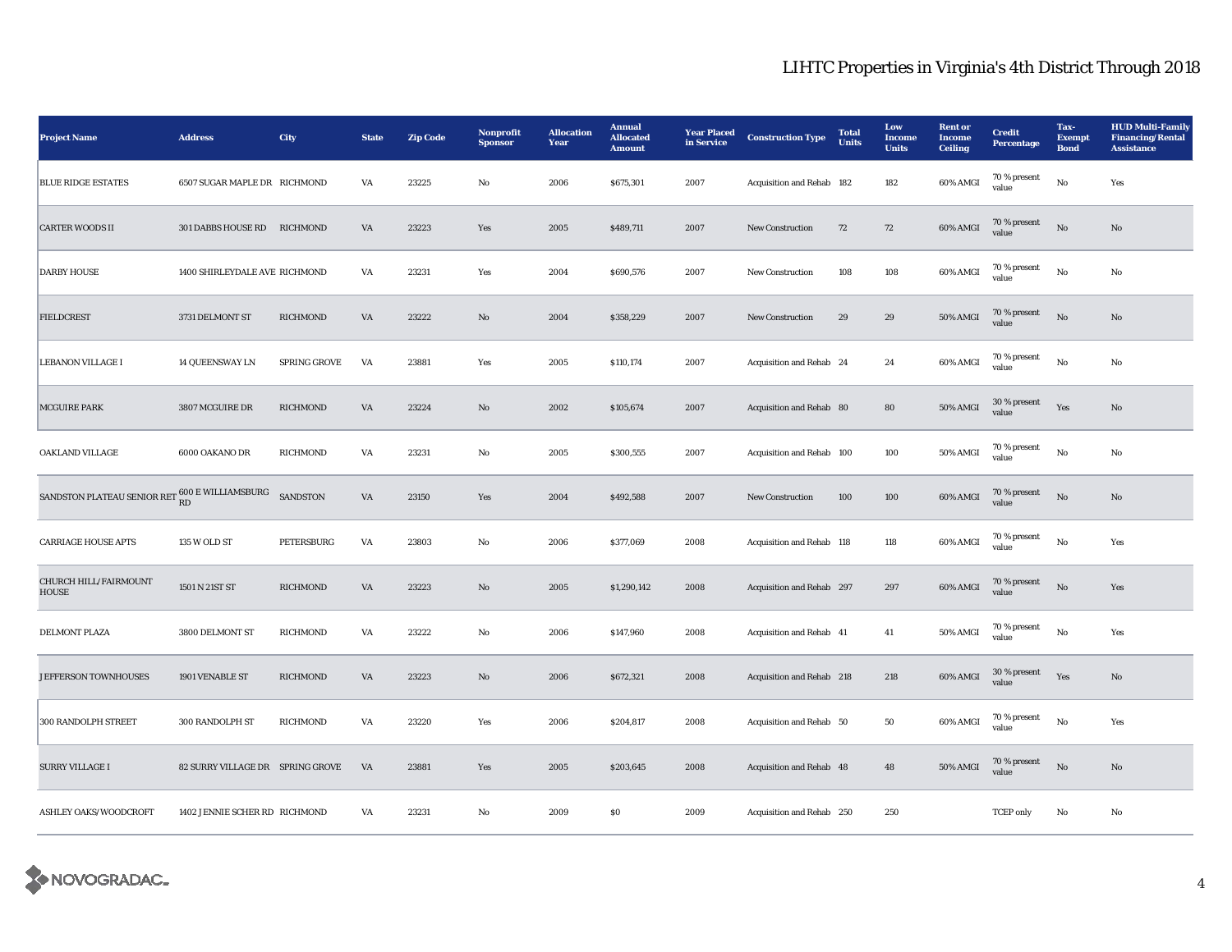| <b>Project Name</b>                                              | <b>Address</b>                   | <b>City</b>         | <b>State</b>           | <b>Zip Code</b> | Nonprofit<br><b>Sponsor</b> | <b>Allocation</b><br>Year | <b>Annual</b><br><b>Allocated</b><br><b>Amount</b> | <b>Year Placed</b><br>in Service | <b>Construction Type</b>  | <b>Total</b><br><b>Units</b> | Low<br><b>Income</b><br><b>Units</b> | <b>Rent</b> or<br>Income<br><b>Ceiling</b> | <b>Credit</b><br>Percentage | Tax-<br><b>Exempt</b><br><b>Bond</b> | <b>HUD Multi-Family</b><br><b>Financing/Rental</b><br><b>Assistance</b> |
|------------------------------------------------------------------|----------------------------------|---------------------|------------------------|-----------------|-----------------------------|---------------------------|----------------------------------------------------|----------------------------------|---------------------------|------------------------------|--------------------------------------|--------------------------------------------|-----------------------------|--------------------------------------|-------------------------------------------------------------------------|
| <b>BLUE RIDGE ESTATES</b>                                        | 6507 SUGAR MAPLE DR RICHMOND     |                     | VA                     | 23225           | No                          | 2006                      | \$675,301                                          | 2007                             | Acquisition and Rehab 182 |                              | 182                                  | 60% AMGI                                   | 70 % present<br>value       | No                                   | Yes                                                                     |
| <b>CARTER WOODS II</b>                                           | 301 DABBS HOUSE RD RICHMOND      |                     | VA                     | 23223           | Yes                         | 2005                      | \$489,711                                          | 2007                             | <b>New Construction</b>   | 72                           | 72                                   | 60% AMGI                                   | 70 % present<br>value       | $\rm No$                             | $\mathbf{N}\mathbf{o}$                                                  |
| <b>DARBY HOUSE</b>                                               | 1400 SHIRLEYDALE AVE RICHMOND    |                     | VA                     | 23231           | Yes                         | 2004                      | \$690,576                                          | 2007                             | <b>New Construction</b>   | 108                          | 108                                  | 60% AMGI                                   | 70 % present<br>value       | No                                   | No                                                                      |
| <b>FIELDCREST</b>                                                | 3731 DELMONT ST                  | <b>RICHMOND</b>     | $\mathbf{V}\mathbf{A}$ | 23222           | $\rm No$                    | 2004                      | \$358,229                                          | 2007                             | New Construction          | $\bf 29$                     | ${\bf 29}$                           | <b>50% AMGI</b>                            | 70 % present<br>value       | $\rm No$                             | $\mathbf{N}\mathbf{o}$                                                  |
| <b>LEBANON VILLAGE I</b>                                         | <b>14 QUEENSWAY LN</b>           | <b>SPRING GROVE</b> | VA                     | 23881           | Yes                         | 2005                      | \$110,174                                          | 2007                             | Acquisition and Rehab 24  |                              | 24                                   | 60% AMGI                                   | 70 % present<br>value       | $_{\rm No}$                          | No                                                                      |
| <b>MCGUIRE PARK</b>                                              | 3807 MCGUIRE DR                  | <b>RICHMOND</b>     | VA                     | 23224           | $\mathbf{N}\mathbf{o}$      | 2002                      | \$105,674                                          | 2007                             | Acquisition and Rehab 80  |                              | 80                                   | 50% AMGI                                   | $30$ % present<br>value     | Yes                                  | No                                                                      |
| OAKLAND VILLAGE                                                  | 6000 OAKANO DR                   | <b>RICHMOND</b>     | VA                     | 23231           | No                          | 2005                      | \$300,555                                          | 2007                             | Acquisition and Rehab 100 |                              | 100                                  | 50% AMGI                                   | 70 % present<br>value       | No                                   | No                                                                      |
| SANDSTON PLATEAU SENIOR RET $_{\rm RD}^{\rm 600~E}$ WILLIAMSBURG |                                  | <b>SANDSTON</b>     | VA                     | 23150           | Yes                         | 2004                      | \$492,588                                          | 2007                             | New Construction          | 100                          | 100                                  | $60\%$ AMGI                                | 70 % present<br>value       | $\rm No$                             | $\mathbf{N}\mathbf{o}$                                                  |
| <b>CARRIAGE HOUSE APTS</b>                                       | 135 W OLD ST                     | PETERSBURG          | VA                     | 23803           | No                          | 2006                      | \$377,069                                          | 2008                             | Acquisition and Rehab 118 |                              | 118                                  | 60% AMGI                                   | 70 % present<br>value       | No                                   | Yes                                                                     |
| CHURCH HILL/FAIRMOUNT<br><b>HOUSE</b>                            | 1501 N 21ST ST                   | <b>RICHMOND</b>     | VA                     | 23223           | $\mathbf{N}\mathbf{o}$      | 2005                      | \$1,290,142                                        | 2008                             | Acquisition and Rehab 297 |                              | 297                                  | 60% AMGI                                   | 70 % present<br>value       | $_{\rm No}$                          | Yes                                                                     |
| DELMONT PLAZA                                                    | 3800 DELMONT ST                  | <b>RICHMOND</b>     | VA                     | 23222           | No                          | 2006                      | \$147,960                                          | 2008                             | Acquisition and Rehab 41  |                              | 41                                   | 50% AMGI                                   | 70 % present<br>value       | No                                   | Yes                                                                     |
| JEFFERSON TOWNHOUSES                                             | 1901 VENABLE ST                  | <b>RICHMOND</b>     | VA                     | 23223           | $\mathbf{No}$               | 2006                      | \$672,321                                          | 2008                             | Acquisition and Rehab 218 |                              | 218                                  | 60% AMGI                                   | 30 % present<br>value       | Yes                                  | $\mathbf{No}$                                                           |
| 300 RANDOLPH STREET                                              | 300 RANDOLPH ST                  | <b>RICHMOND</b>     | VA                     | 23220           | Yes                         | 2006                      | \$204,817                                          | 2008                             | Acquisition and Rehab 50  |                              | 50                                   | 60% AMGI                                   | 70 % present<br>value       | No                                   | Yes                                                                     |
| <b>SURRY VILLAGE I</b>                                           | 82 SURRY VILLAGE DR SPRING GROVE |                     | VA                     | 23881           | Yes                         | 2005                      | \$203,645                                          | 2008                             | Acquisition and Rehab 48  |                              | 48                                   | 50% AMGI                                   | 70 % present<br>value       | $\rm No$                             | $\mathbf{No}$                                                           |
| ASHLEY OAKS/WOODCROFT                                            | 1402 JENNIE SCHER RD RICHMOND    |                     | VA                     | 23231           | No                          | 2009                      | \$0\$                                              | 2009                             | Acquisition and Rehab 250 |                              | 250                                  |                                            | <b>TCEP</b> only            | No                                   | No                                                                      |

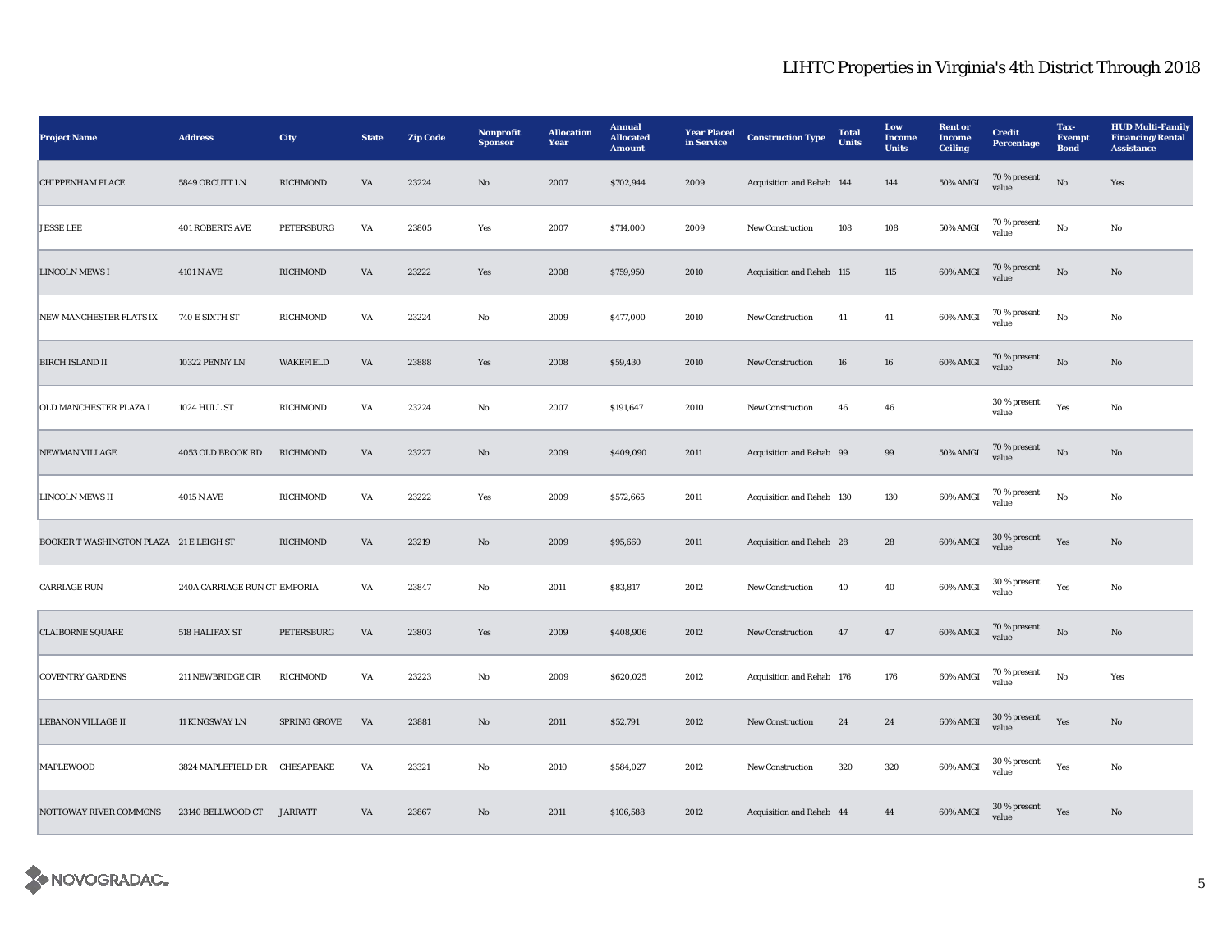| <b>Project Name</b>                     | <b>Address</b>                | <b>City</b>     | <b>State</b>           | <b>Zip Code</b> | Nonprofit<br><b>Sponsor</b> | <b>Allocation</b><br>Year | <b>Annual</b><br><b>Allocated</b><br><b>Amount</b> | <b>Year Placed</b><br>in Service | <b>Construction Type</b>  | <b>Total</b><br>Units | Low<br>Income<br><b>Units</b> | <b>Rent</b> or<br><b>Income</b><br><b>Ceiling</b> | <b>Credit</b><br>Percentage | Tax-<br><b>Exempt</b><br><b>Bond</b> | <b>HUD Multi-Family</b><br><b>Financing/Rental</b><br><b>Assistance</b> |
|-----------------------------------------|-------------------------------|-----------------|------------------------|-----------------|-----------------------------|---------------------------|----------------------------------------------------|----------------------------------|---------------------------|-----------------------|-------------------------------|---------------------------------------------------|-----------------------------|--------------------------------------|-------------------------------------------------------------------------|
| <b>CHIPPENHAM PLACE</b>                 | 5849 ORCUTT LN                | RICHMOND        | VA                     | 23224           | No                          | 2007                      | \$702,944                                          | 2009                             | Acquisition and Rehab 144 |                       | 144                           | 50% AMGI                                          | 70 % present<br>value       | $\rm \bf No$                         | Yes                                                                     |
| <b>JESSE LEE</b>                        | <b>401 ROBERTS AVE</b>        | PETERSBURG      | VA                     | 23805           | Yes                         | 2007                      | \$714,000                                          | 2009                             | New Construction          | 108                   | 108                           | 50% AMGI                                          | 70 % present<br>value       | $_{\rm No}$                          | No                                                                      |
| <b>LINCOLN MEWS I</b>                   | <b>4101 N AVE</b>             | RICHMOND        | $\mathbf{V}\mathbf{A}$ | 23222           | Yes                         | 2008                      | \$759,950                                          | 2010                             | Acquisition and Rehab 115 |                       | $115\,$                       | 60% AMGI                                          | 70 % present<br>value       | $_{\rm No}$                          | $\mathbf{No}$                                                           |
| NEW MANCHESTER FLATS IX                 | 740 E SIXTH ST                | RICHMOND        | VA                     | 23224           | $\rm No$                    | 2009                      | \$477,000                                          | 2010                             | New Construction          | 41                    | 41                            | 60% AMGI                                          | 70 % present<br>value       | $_{\rm No}$                          | No                                                                      |
| <b>BIRCH ISLAND II</b>                  | 10322 PENNY LN                | WAKEFIELD       | VA                     | 23888           | Yes                         | 2008                      | \$59,430                                           | 2010                             | <b>New Construction</b>   | 16                    | 16                            | 60% AMGI                                          | 70 % present<br>value       | $\rm \bf No$                         | $\mathbf{No}$                                                           |
| OLD MANCHESTER PLAZA I                  | 1024 HULL ST                  | RICHMOND        | VA                     | 23224           | $_{\rm No}$                 | 2007                      | \$191,647                                          | 2010                             | New Construction          | 46                    | 46                            |                                                   | 30 % present<br>value       | Yes                                  | $_{\rm No}$                                                             |
| <b>NEWMAN VILLAGE</b>                   | 4053 OLD BROOK RD             | RICHMOND        | VA                     | 23227           | $\mathbf{N}\mathbf{o}$      | 2009                      | \$409,090                                          | 2011                             | Acquisition and Rehab 99  |                       | $\boldsymbol{99}$             | <b>50% AMGI</b>                                   | 70 % present<br>value       | $\rm \bf No$                         | $\mathbf{No}$                                                           |
| <b>LINCOLN MEWS II</b>                  | <b>4015 N AVE</b>             | RICHMOND        | VA                     | 23222           | Yes                         | 2009                      | \$572,665                                          | 2011                             | Acquisition and Rehab 130 |                       | 130                           | 60% AMGI                                          | 70 % present<br>value       | No                                   | No                                                                      |
| BOOKER T WASHINGTON PLAZA 21 E LEIGH ST |                               | <b>RICHMOND</b> | VA                     | 23219           | $\mathbf{N}\mathbf{o}$      | 2009                      | \$95,660                                           | 2011                             | Acquisition and Rehab 28  |                       | ${\bf 28}$                    | 60% AMGI                                          | 30 % present<br>value       | Yes                                  | $\mathbf{No}$                                                           |
| <b>CARRIAGE RUN</b>                     | 240A CARRIAGE RUN CT EMPORIA  |                 | VA                     | 23847           | No                          | 2011                      | \$83,817                                           | 2012                             | <b>New Construction</b>   | 40                    | 40                            | 60% AMGI                                          | $30\,\%$ present<br>value   | Yes                                  | No                                                                      |
| <b>CLAIBORNE SQUARE</b>                 | 518 HALIFAX ST                | PETERSBURG      | VA                     | 23803           | Yes                         | 2009                      | \$408,906                                          | 2012                             | New Construction          | 47                    | 47                            | 60% AMGI                                          | 70 % present<br>value       | $\rm \bf No$                         | $\rm No$                                                                |
| <b>COVENTRY GARDENS</b>                 | 211 NEWBRIDGE CIR             | RICHMOND        | VA                     | 23223           | $\mathbf{No}$               | 2009                      | \$620,025                                          | 2012                             | Acquisition and Rehab 176 |                       | 176                           | 60% AMGI                                          | 70 % present<br>value       | $_{\rm No}$                          | Yes                                                                     |
| <b>LEBANON VILLAGE II</b>               | 11 KINGSWAY LN                | SPRING GROVE    | VA                     | 23881           | $\mathbf{No}$               | 2011                      | \$52,791                                           | 2012                             | New Construction          | 24                    | 24                            | $60\%$ AMGI                                       | 30 % present<br>value       | Yes                                  | $\mathbf{No}$                                                           |
| <b>MAPLEWOOD</b>                        | 3824 MAPLEFIELD DR CHESAPEAKE |                 | VA                     | 23321           | No                          | 2010                      | \$584,027                                          | 2012                             | <b>New Construction</b>   | 320                   | 320                           | 60% AMGI                                          | 30 % present<br>value       | Yes                                  | $\rm No$                                                                |
| <b>NOTTOWAY RIVER COMMONS</b>           | 23140 BELLWOOD CT JARRATT     |                 | VA                     | 23867           | No                          | 2011                      | \$106,588                                          | 2012                             | Acquisition and Rehab 44  |                       | 44                            | 60% AMGI                                          | 30 % present<br>value       | Yes                                  | No                                                                      |

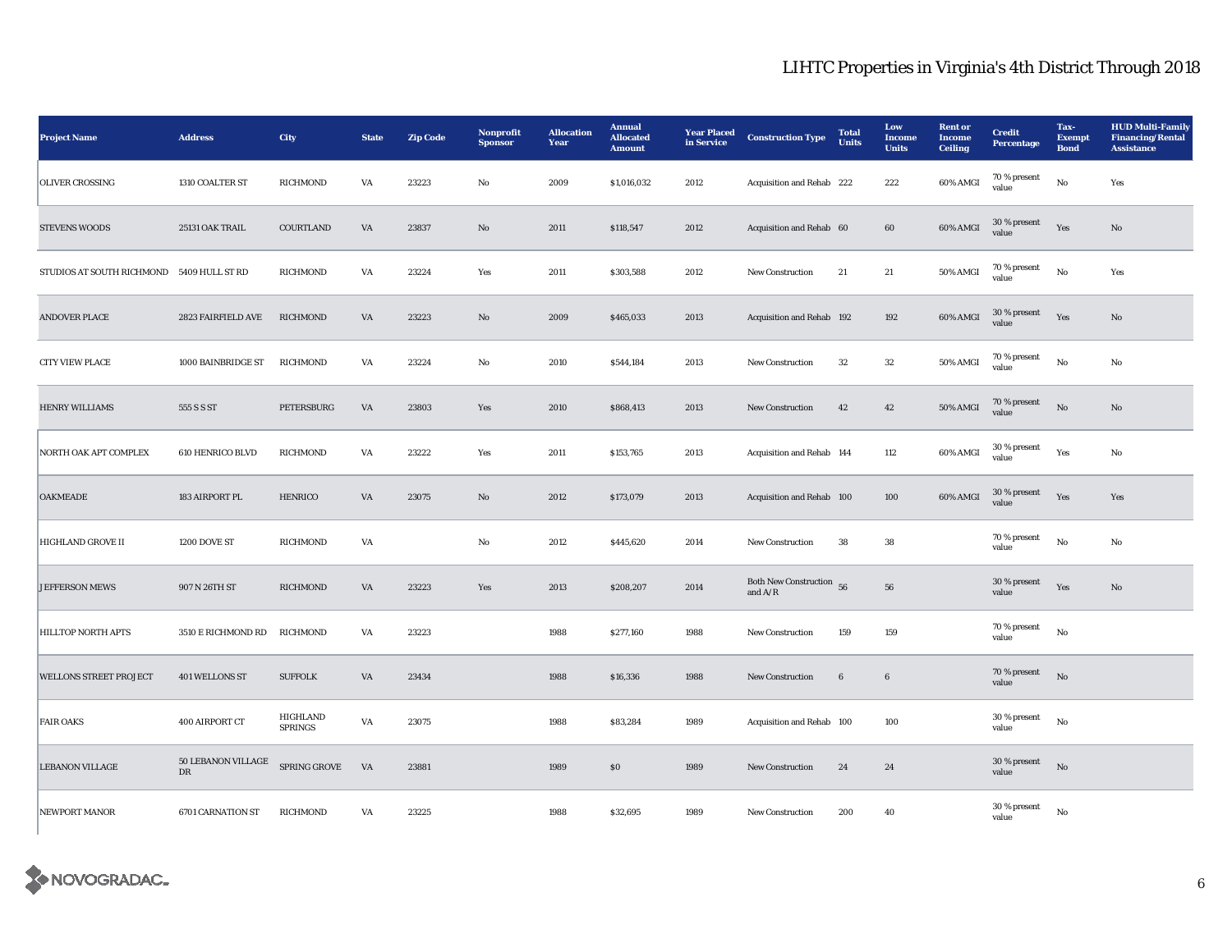| <b>Project Name</b>                       | <b>Address</b>                                 | <b>City</b>                | <b>State</b>           | <b>Zip Code</b> | Nonprofit<br><b>Sponsor</b> | <b>Allocation</b><br>Year | <b>Annual</b><br><b>Allocated</b><br><b>Amount</b> | <b>Year Placed</b><br>in Service | <b>Construction Type</b>                | <b>Total</b><br><b>Units</b> | Low<br><b>Income</b><br><b>Units</b> | <b>Rent or</b><br><b>Income</b><br><b>Ceiling</b> | <b>Credit</b><br><b>Percentage</b> | Tax-<br><b>Exempt</b><br><b>Bond</b> | <b>HUD Multi-Family</b><br><b>Financing/Rental</b><br><b>Assistance</b> |
|-------------------------------------------|------------------------------------------------|----------------------------|------------------------|-----------------|-----------------------------|---------------------------|----------------------------------------------------|----------------------------------|-----------------------------------------|------------------------------|--------------------------------------|---------------------------------------------------|------------------------------------|--------------------------------------|-------------------------------------------------------------------------|
| <b>OLIVER CROSSING</b>                    | 1310 COALTER ST                                | <b>RICHMOND</b>            | VA                     | 23223           | No                          | 2009                      | \$1,016,032                                        | 2012                             | Acquisition and Rehab 222               |                              | 222                                  | 60% AMGI                                          | 70 % present<br>value              | No                                   | Yes                                                                     |
| <b>STEVENS WOODS</b>                      | 25131 OAK TRAIL                                | COURTLAND                  | $\mathbf{V}\mathbf{A}$ | 23837           | $\rm No$                    | 2011                      | \$118,547                                          | 2012                             | Acquisition and Rehab 60                |                              | 60                                   | 60% AMGI                                          | $30\,\%$ present<br>value          | Yes                                  | $\rm\thinspace No$                                                      |
| STUDIOS AT SOUTH RICHMOND 5409 HULL ST RD |                                                | RICHMOND                   | VA                     | 23224           | Yes                         | 2011                      | \$303,588                                          | 2012                             | New Construction                        | 21                           | 21                                   | 50% AMGI                                          | 70 % present<br>value              | No                                   | Yes                                                                     |
| <b>ANDOVER PLACE</b>                      | 2823 FAIRFIELD AVE                             | <b>RICHMOND</b>            | $\mathbf{V}\mathbf{A}$ | 23223           | $\mathbf{N}\mathbf{o}$      | 2009                      | \$465,033                                          | 2013                             | Acquisition and Rehab 192               |                              | 192                                  | 60% AMGI                                          | 30 % present<br>value              | Yes                                  | $\rm No$                                                                |
| <b>CITY VIEW PLACE</b>                    | 1000 BAINBRIDGE ST                             | RICHMOND                   | VA                     | 23224           | No                          | 2010                      | \$544,184                                          | 2013                             | New Construction                        | $32\,$                       | $32\,$                               | <b>50% AMGI</b>                                   | $70$ % present<br>value            | No                                   | $\mathbf{No}$                                                           |
| <b>HENRY WILLIAMS</b>                     | 555 S S ST                                     | PETERSBURG                 | VA                     | 23803           | Yes                         | 2010                      | \$868,413                                          | 2013                             | New Construction                        | 42                           | 42                                   | <b>50% AMGI</b>                                   | 70 % present<br>value              | No                                   | No                                                                      |
| NORTH OAK APT COMPLEX                     | 610 HENRICO BLVD                               | RICHMOND                   | VA                     | 23222           | Yes                         | 2011                      | \$153,765                                          | 2013                             | Acquisition and Rehab 144               |                              | 112                                  | 60% AMGI                                          | 30 % present<br>value              | Yes                                  | No                                                                      |
| <b>OAKMEADE</b>                           | 183 AIRPORT PL                                 | <b>HENRICO</b>             | $\mathbf{V}\mathbf{A}$ | 23075           | $\mathbf{No}$               | 2012                      | \$173,079                                          | 2013                             | Acquisition and Rehab 100               |                              | 100                                  | 60% AMGI                                          | 30 % present<br>value              | Yes                                  | Yes                                                                     |
| HIGHLAND GROVE II                         | 1200 DOVE ST                                   | RICHMOND                   | $\mathbf{V}\mathbf{A}$ |                 | No                          | 2012                      | \$445,620                                          | 2014                             | New Construction                        | 38                           | ${\bf 38}$                           |                                                   | 70 % present<br>value              | $\mathbf{N}\mathbf{o}$               | No                                                                      |
| JEFFERSON MEWS                            | 907 N 26TH ST                                  | RICHMOND                   | VA                     | 23223           | Yes                         | 2013                      | \$208,207                                          | 2014                             | Both New Construction $56$<br>and $A/R$ |                              | 56                                   |                                                   | 30 % present<br>value              | Yes                                  | No                                                                      |
| <b>HILLTOP NORTH APTS</b>                 | 3510 E RICHMOND RD                             | <b>RICHMOND</b>            | VA                     | 23223           |                             | 1988                      | \$277,160                                          | 1988                             | New Construction                        | 159                          | 159                                  |                                                   | 70 % present<br>value              | $\mathbf{N}\mathbf{o}$               |                                                                         |
| <b>WELLONS STREET PROJECT</b>             | 401 WELLONS ST                                 | <b>SUFFOLK</b>             | VA                     | 23434           |                             | 1988                      | \$16,336                                           | 1988                             | <b>New Construction</b>                 | 6                            | $6\phantom{1}6$                      |                                                   | 70 % present<br>value              | No                                   |                                                                         |
| <b>FAIR OAKS</b>                          | 400 AIRPORT CT                                 | HIGHLAND<br><b>SPRINGS</b> | VA                     | 23075           |                             | 1988                      | \$83,284                                           | 1989                             | Acquisition and Rehab 100               |                              | 100                                  |                                                   | 30 % present<br>value              | No                                   |                                                                         |
| <b>LEBANON VILLAGE</b>                    | 50 LEBANON VILLAGE SPRING GROVE<br>$_{\rm DR}$ |                            | VA                     | 23881           |                             | 1989                      | SO                                                 | 1989                             | New Construction                        | 24                           | 24                                   |                                                   | $30\,\%$ present<br>value          | No                                   |                                                                         |
| <b>NEWPORT MANOR</b>                      | 6701 CARNATION ST                              | RICHMOND                   | VA                     | 23225           |                             | 1988                      | \$32,695                                           | 1989                             | <b>New Construction</b>                 | 200                          | 40                                   |                                                   | 30 % present<br>value              | $_{\rm No}$                          |                                                                         |

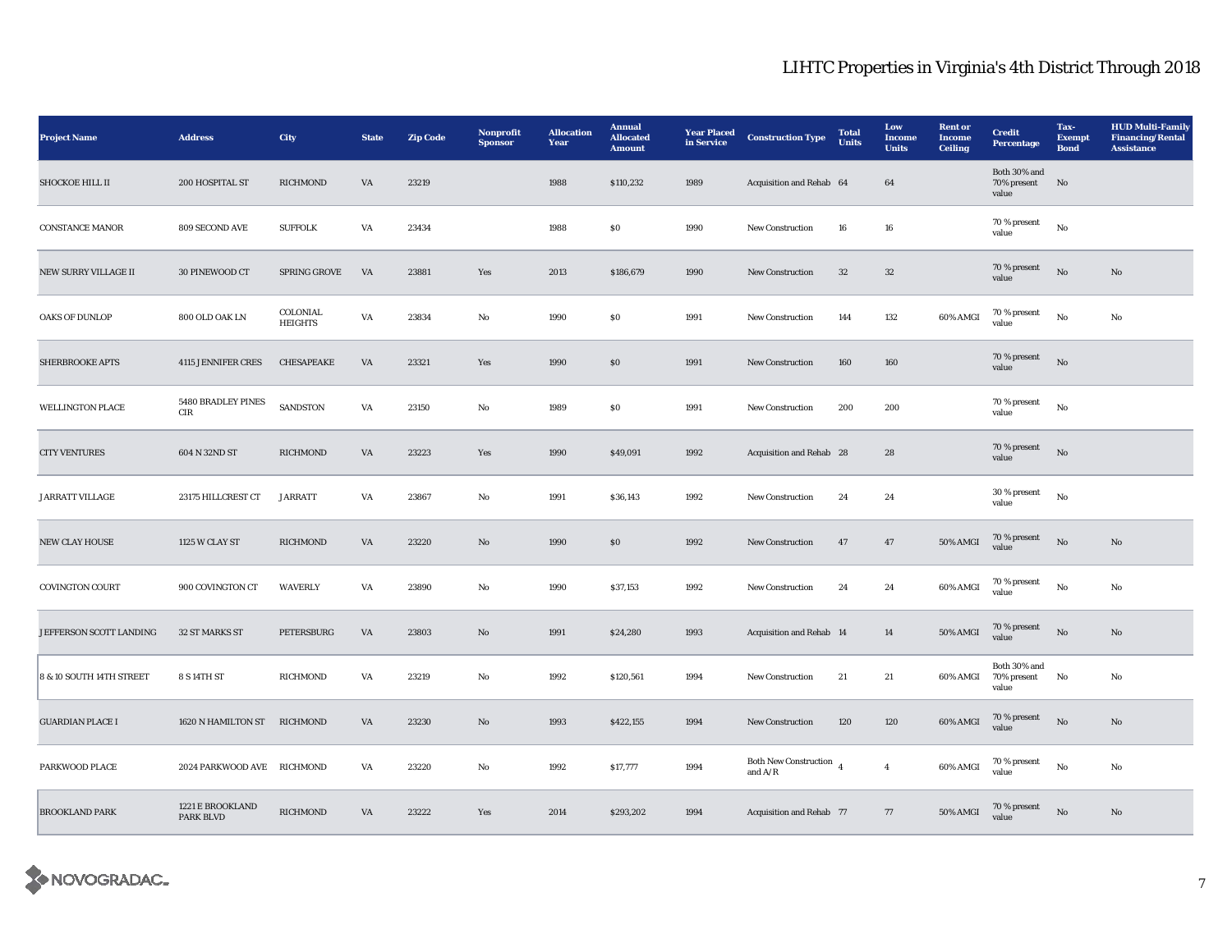| <b>Project Name</b>      | <b>Address</b>                       | <b>City</b>                | <b>State</b>           | <b>Zip Code</b> | Nonprofit<br><b>Sponsor</b> | <b>Allocation</b><br>Year | <b>Annual</b><br><b>Allocated</b><br><b>Amount</b> | <b>Year Placed</b><br>in Service | <b>Construction Type</b>                  | <b>Total</b><br><b>Units</b> | Low<br>Income<br><b>Units</b> | <b>Rent</b> or<br><b>Income</b><br><b>Ceiling</b> | <b>Credit</b><br>Percentage          | Tax-<br><b>Exempt</b><br><b>Bond</b> | <b>HUD Multi-Family</b><br><b>Financing/Rental</b><br><b>Assistance</b> |
|--------------------------|--------------------------------------|----------------------------|------------------------|-----------------|-----------------------------|---------------------------|----------------------------------------------------|----------------------------------|-------------------------------------------|------------------------------|-------------------------------|---------------------------------------------------|--------------------------------------|--------------------------------------|-------------------------------------------------------------------------|
| SHOCKOE HILL II          | 200 HOSPITAL ST                      | <b>RICHMOND</b>            | VA                     | 23219           |                             | 1988                      | \$110,232                                          | 1989                             | Acquisition and Rehab 64                  |                              | 64                            |                                                   | Both 30% and<br>70% present<br>value | No                                   |                                                                         |
| <b>CONSTANCE MANOR</b>   | <b>809 SECOND AVE</b>                | <b>SUFFOLK</b>             | VA                     | 23434           |                             | 1988                      | \$0\$                                              | 1990                             | <b>New Construction</b>                   | 16                           | 16                            |                                                   | 70 % present<br>value                | No                                   |                                                                         |
| NEW SURRY VILLAGE II     | 30 PINEWOOD CT                       | SPRING GROVE               | VA                     | 23881           | Yes                         | 2013                      | \$186,679                                          | 1990                             | <b>New Construction</b>                   | $32\,$                       | $32\,$                        |                                                   | 70 % present<br>value                | $\rm No$                             | $\rm No$                                                                |
| OAKS OF DUNLOP           | 800 OLD OAK LN                       | COLONIAL<br><b>HEIGHTS</b> | $\mathbf{V}\mathbf{A}$ | 23834           | No                          | 1990                      | S <sub>0</sub>                                     | 1991                             | <b>New Construction</b>                   | 144                          | $132\,$                       | 60% AMGI                                          | 70 % present<br>value                | $_{\rm No}$                          | $_{\rm No}$                                                             |
| SHERBROOKE APTS          | <b>4115 JENNIFER CRES</b>            | CHESAPEAKE                 | VA                     | 23321           | Yes                         | 1990                      | $\$0$                                              | 1991                             | New Construction                          | 160                          | 160                           |                                                   | 70 % present<br>value                | $\rm No$                             |                                                                         |
| <b>WELLINGTON PLACE</b>  | 5480 BRADLEY PINES<br>$\rm CIR$      | SANDSTON                   | VA                     | 23150           | No                          | 1989                      | $\$0$                                              | 1991                             | New Construction                          | 200                          | 200                           |                                                   | 70 % present<br>value                | No                                   |                                                                         |
| <b>CITY VENTURES</b>     | 604 N 32ND ST                        | <b>RICHMOND</b>            | VA                     | 23223           | Yes                         | 1990                      | \$49,091                                           | 1992                             | Acquisition and Rehab 28                  |                              | 28                            |                                                   | 70 % present<br>value                | No                                   |                                                                         |
| JARRATT VILLAGE          | 23175 HILLCREST CT                   | <b>JARRATT</b>             | VA                     | 23867           | No                          | 1991                      | \$36,143                                           | 1992                             | <b>New Construction</b>                   | 24                           | 24                            |                                                   | 30 % present<br>value                | $\rm No$                             |                                                                         |
| NEW CLAY HOUSE           | 1125 W CLAY ST                       | RICHMOND                   | VA                     | 23220           | No                          | 1990                      | \$0\$                                              | 1992                             | <b>New Construction</b>                   | 47                           | 47                            | <b>50% AMGI</b>                                   | 70 % present<br>value                | No                                   | $\mathbf{No}$                                                           |
| COVINGTON COURT          | 900 COVINGTON CT                     | <b>WAVERLY</b>             | VA                     | 23890           | No                          | 1990                      | \$37,153                                           | 1992                             | New Construction                          | 24                           | 24                            | 60% AMGI                                          | $70\,\%$ present<br>value            | $_{\rm No}$                          | No                                                                      |
| JEFFERSON SCOTT LANDING  | 32 ST MARKS ST                       | PETERSBURG                 | $\mathsf{V}\mathsf{A}$ | 23803           | No                          | 1991                      | \$24,280                                           | 1993                             | Acquisition and Rehab 14                  |                              | 14                            | $50\%$ AMGI                                       | 70 % present<br>value                | $_{\rm No}$                          | $\mathbf{N}\mathbf{o}$                                                  |
| 8 & 10 SOUTH 14TH STREET | 8 S 14TH ST                          | <b>RICHMOND</b>            | VA                     | 23219           | No                          | 1992                      | \$120,561                                          | 1994                             | <b>New Construction</b>                   | 21                           | 21                            | 60% AMGI                                          | Both 30% and<br>70% present<br>value | No                                   | No                                                                      |
| <b>GUARDIAN PLACE I</b>  | 1620 N HAMILTON ST RICHMOND          |                            | VA                     | 23230           | No                          | 1993                      | \$422,155                                          | 1994                             | <b>New Construction</b>                   | 120                          | 120                           | 60% AMGI                                          | 70 % present<br>value                | No                                   | No                                                                      |
| PARKWOOD PLACE           | 2024 PARKWOOD AVE RICHMOND           |                            | VA                     | 23220           | No                          | 1992                      | S17,777                                            | 1994                             | <b>Both New Construction</b><br>and $A/R$ |                              | $\overline{4}$                | 60% AMGI                                          | $70\,\%$ present<br>value            | No                                   | No                                                                      |
| <b>BROOKLAND PARK</b>    | 1221 E BROOKLAND<br><b>PARK BLVD</b> | $\mathbf{RICHMOND}$        | VA                     | 23222           | Yes                         | 2014                      | \$293,202                                          | 1994                             | Acquisition and Rehab 77                  |                              | 77                            | 50% AMGI                                          | 70 % present<br>value                | $\mathbf{N}\mathbf{o}$               | No                                                                      |

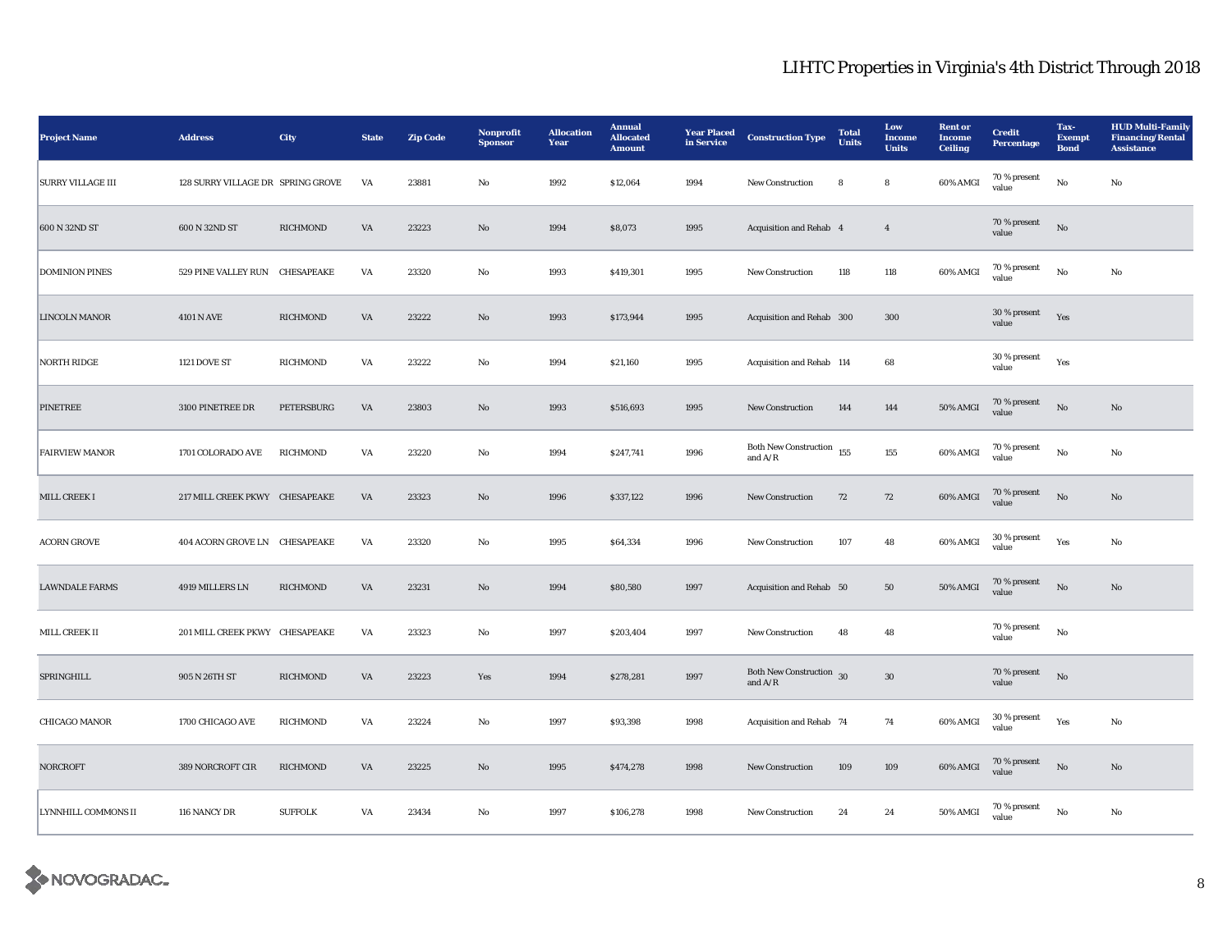| <b>Project Name</b>      | <b>Address</b>                    | <b>City</b>     | <b>State</b>           | <b>Zip Code</b> | Nonprofit<br><b>Sponsor</b> | <b>Allocation</b><br>Year | <b>Annual</b><br><b>Allocated</b><br><b>Amount</b> | <b>Year Placed</b><br>in Service | <b>Construction Type</b>                 | <b>Total</b><br><b>Units</b> | Low<br>Income<br><b>Units</b> | <b>Rent</b> or<br><b>Income</b><br><b>Ceiling</b> | <b>Credit</b><br><b>Percentage</b> | Tax-<br><b>Exempt</b><br><b>Bond</b> | <b>HUD Multi-Family</b><br><b>Financing/Rental</b><br><b>Assistance</b> |
|--------------------------|-----------------------------------|-----------------|------------------------|-----------------|-----------------------------|---------------------------|----------------------------------------------------|----------------------------------|------------------------------------------|------------------------------|-------------------------------|---------------------------------------------------|------------------------------------|--------------------------------------|-------------------------------------------------------------------------|
| <b>SURRY VILLAGE III</b> | 128 SURRY VILLAGE DR SPRING GROVE |                 | VA                     | 23881           | No                          | 1992                      | \$12,064                                           | 1994                             | New Construction                         | 8                            | 8                             | 60% AMGI                                          | 70 % present<br>value              | No                                   | No                                                                      |
| 600 N 32ND ST            | 600 N 32ND ST                     | <b>RICHMOND</b> | VA                     | 23223           | $\mathbf{N}\mathbf{o}$      | 1994                      | \$8,073                                            | 1995                             | Acquisition and Rehab 4                  |                              | $\overline{4}$                |                                                   | 70 % present<br>value              | $\rm No$                             |                                                                         |
| <b>DOMINION PINES</b>    | 529 PINE VALLEY RUN CHESAPEAKE    |                 | VA                     | 23320           | No                          | 1993                      | \$419,301                                          | 1995                             | <b>New Construction</b>                  | 118                          | 118                           | 60% AMGI                                          | 70 % present<br>value              | $\rm No$                             | No                                                                      |
| <b>LINCOLN MANOR</b>     | 4101 N AVE                        | <b>RICHMOND</b> | $\mathbf{V}\mathbf{A}$ | 23222           | $\rm No$                    | 1993                      | \$173,944                                          | 1995                             | Acquisition and Rehab 300                |                              | 300                           |                                                   | 30 % present<br>value              | Yes                                  |                                                                         |
| <b>NORTH RIDGE</b>       | <b>1121 DOVE ST</b>               | RICHMOND        | VA                     | 23222           | $\rm No$                    | 1994                      | \$21,160                                           | 1995                             | Acquisition and Rehab 114                |                              | 68                            |                                                   | 30 % present<br>value              | Yes                                  |                                                                         |
| PINETREE                 | 3100 PINETREE DR                  | PETERSBURG      | VA                     | 23803           | No                          | 1993                      | \$516,693                                          | 1995                             | <b>New Construction</b>                  | 144                          | 144                           | 50% AMGI                                          | 70 % present<br>value              | $\rm No$                             | No                                                                      |
| <b>FAIRVIEW MANOR</b>    | 1701 COLORADO AVE                 | RICHMOND        | VA                     | 23220           | No                          | 1994                      | \$247,741                                          | 1996                             | Both New Construction $155$<br>and $A/R$ |                              | 155                           | 60% AMGI                                          | 70 % present<br>value              | No                                   | No                                                                      |
| MILL CREEK I             | 217 MILL CREEK PKWY CHESAPEAKE    |                 | VA                     | 23323           | No                          | 1996                      | \$337,122                                          | 1996                             | <b>New Construction</b>                  | 72                           | 72                            | 60% AMGI                                          | 70 % present<br>value              | $\mathbf{N}\mathbf{o}$               | No                                                                      |
| <b>ACORN GROVE</b>       | 404 ACORN GROVE LN CHESAPEAKE     |                 | VA                     | 23320           | No                          | 1995                      | \$64,334                                           | 1996                             | New Construction                         | 107                          | 48                            | 60% AMGI                                          | 30 % present<br>value              | Yes                                  | No                                                                      |
| <b>LAWNDALE FARMS</b>    | 4919 MILLERS LN                   | <b>RICHMOND</b> | $\mathbf{V}\mathbf{A}$ | 23231           | $\mathbf{N}\mathbf{o}$      | 1994                      | \$80,580                                           | 1997                             | Acquisition and Rehab 50                 |                              | ${\bf 50}$                    | 50% AMGI                                          | $70\,\%$ present<br>value          | $\rm No$                             | $\mathbf{N}\mathbf{o}$                                                  |
| MILL CREEK II            | 201 MILL CREEK PKWY CHESAPEAKE    |                 | VA                     | 23323           | $\rm No$                    | 1997                      | \$203,404                                          | 1997                             | New Construction                         | 48                           | 48                            |                                                   | 70 % present<br>value              | $\rm\thinspace No$                   |                                                                         |
| SPRINGHILL               | 905 N 26TH ST                     | <b>RICHMOND</b> | VA                     | 23223           | Yes                         | 1994                      | \$278,281                                          | 1997                             | Both New Construction 30<br>and $A/R$    |                              | $30\,$                        |                                                   | 70 % present<br>value              | $\rm No$                             |                                                                         |
| <b>CHICAGO MANOR</b>     | 1700 CHICAGO AVE                  | <b>RICHMOND</b> | VA                     | 23224           | No                          | 1997                      | \$93,398                                           | 1998                             | Acquisition and Rehab 74                 |                              | 74                            | 60% AMGI                                          | 30 % present<br>value              | Yes                                  | No                                                                      |
| <b>NORCROFT</b>          | 389 NORCROFT CIR                  | RICHMOND        | $\mathbf{V}\mathbf{A}$ | 23225           | No                          | 1995                      | \$474,278                                          | 1998                             | New Construction                         | 109                          | 109                           | 60% AMGI                                          | 70 % present<br>value              | $\rm No$                             | No                                                                      |
| LYNNHILL COMMONS II      | 116 NANCY DR                      | <b>SUFFOLK</b>  | VA                     | 23434           | No                          | 1997                      | \$106,278                                          | 1998                             | <b>New Construction</b>                  | 24                           | 24                            | 50% AMGI                                          | 70 % present<br>value              | No                                   | No                                                                      |

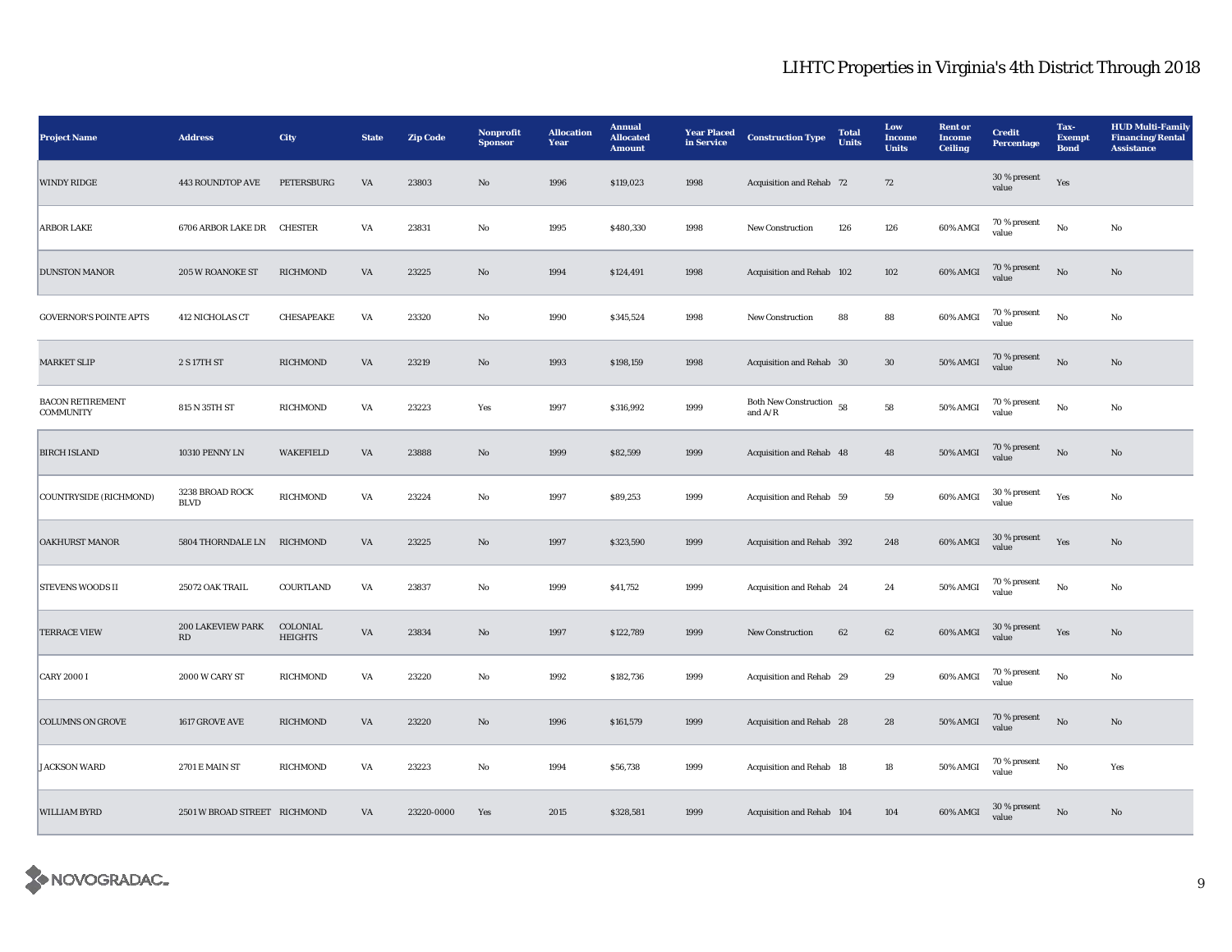| <b>Project Name</b>                         | <b>Address</b>                              | City                       | <b>State</b> | <b>Zip Code</b> | Nonprofit<br><b>Sponsor</b> | <b>Allocation</b><br>Year | <b>Annual</b><br><b>Allocated</b><br><b>Amount</b> | <b>Year Placed</b><br>in Service | <b>Construction Type</b>                  | <b>Total</b><br>Units | Low<br>Income<br><b>Units</b> | <b>Rent</b> or<br><b>Income</b><br><b>Ceiling</b> | <b>Credit</b><br>Percentage | Tax-<br><b>Exempt</b><br><b>Bond</b> | <b>HUD Multi-Family</b><br><b>Financing/Rental</b><br><b>Assistance</b> |
|---------------------------------------------|---------------------------------------------|----------------------------|--------------|-----------------|-----------------------------|---------------------------|----------------------------------------------------|----------------------------------|-------------------------------------------|-----------------------|-------------------------------|---------------------------------------------------|-----------------------------|--------------------------------------|-------------------------------------------------------------------------|
| <b>WINDY RIDGE</b>                          | <b>443 ROUNDTOP AVE</b>                     | PETERSBURG                 | VA           | 23803           | No                          | 1996                      | \$119,023                                          | 1998                             | Acquisition and Rehab 72                  |                       | 72                            |                                                   | 30 % present<br>value       | Yes                                  |                                                                         |
| <b>ARBOR LAKE</b>                           | 6706 ARBOR LAKE DR CHESTER                  |                            | VA           | 23831           | No                          | 1995                      | \$480,330                                          | 1998                             | <b>New Construction</b>                   | 126                   | 126                           | 60% AMGI                                          | 70 % present<br>value       | No                                   | No                                                                      |
| <b>DUNSTON MANOR</b>                        | 205 W ROANOKE ST                            | RICHMOND                   | VA           | 23225           | $\mathbf{No}$               | 1994                      | \$124,491                                          | 1998                             | Acquisition and Rehab 102                 |                       | 102                           | 60% AMGI                                          | $70\,\%$ present<br>value   | No                                   | No                                                                      |
| <b>GOVERNOR'S POINTE APTS</b>               | 412 NICHOLAS CT                             | CHESAPEAKE                 | VA           | 23320           | $_{\rm No}$                 | 1990                      | \$345,524                                          | 1998                             | <b>New Construction</b>                   | 88                    | 88                            | 60% AMGI                                          | 70 % present<br>value       | $_{\rm No}$                          | $_{\rm No}$                                                             |
| <b>MARKET SLIP</b>                          | 2 S 17TH ST                                 | RICHMOND                   | VA           | 23219           | $\mathbf{N}\mathbf{o}$      | 1993                      | \$198,159                                          | 1998                             | Acquisition and Rehab 30                  |                       | $30\,$                        | <b>50% AMGI</b>                                   | 70 % present<br>value       | No                                   | $\mathbf{No}$                                                           |
| <b>BACON RETIREMENT</b><br><b>COMMUNITY</b> | 815 N 35TH ST                               | RICHMOND                   | VA           | 23223           | Yes                         | 1997                      | \$316,992                                          | 1999                             | Both New Construction 58<br>and $\rm A/R$ |                       | 58                            | 50% AMGI                                          | 70 % present<br>value       | No                                   | No                                                                      |
| <b>BIRCH ISLAND</b>                         | 10310 PENNY LN                              | <b>WAKEFIELD</b>           | VA           | 23888           | $\mathbf{N}\mathbf{o}$      | 1999                      | \$82,599                                           | 1999                             | Acquisition and Rehab 48                  |                       | 48                            | 50% AMGI                                          | 70 % present<br>value       | $\rm \bf No$                         | $\mathbf{No}$                                                           |
| COUNTRYSIDE (RICHMOND)                      | 3238 BROAD ROCK<br><b>BLVD</b>              | RICHMOND                   | VA           | 23224           | No                          | 1997                      | \$89,253                                           | 1999                             | Acquisition and Rehab 59                  |                       | 59                            | 60% AMGI                                          | 30 % present<br>value       | Yes                                  | No                                                                      |
| <b>OAKHURST MANOR</b>                       | 5804 THORNDALE LN RICHMOND                  |                            | VA           | 23225           | $\mathbf{No}$               | 1997                      | \$323,590                                          | 1999                             | Acquisition and Rehab 392                 |                       | 248                           | 60% AMGI                                          | $30\,\%$ present<br>value   | Yes                                  | $\rm No$                                                                |
| <b>STEVENS WOODS II</b>                     | 25072 OAK TRAIL                             | COURTLAND                  | VA           | 23837           | $_{\rm No}$                 | 1999                      | \$41,752                                           | 1999                             | Acquisition and Rehab 24                  |                       | 24                            | 50% AMGI                                          | $70$ % present<br>value     | $_{\rm No}$                          | No                                                                      |
| <b>TERRACE VIEW</b>                         | 200 LAKEVIEW PARK<br>$\mathbf{R}\mathbf{D}$ | COLONIAL<br><b>HEIGHTS</b> | VA           | 23834           | $\rm No$                    | 1997                      | \$122,789                                          | 1999                             | New Construction                          | 62                    | 62                            | $60\%$ AMGI                                       | 30 % present<br>value       | Yes                                  | $\mathbf{No}$                                                           |
| <b>CARY 2000 I</b>                          | 2000 W CARY ST                              | RICHMOND                   | VA           | 23220           | No                          | 1992                      | \$182,736                                          | 1999                             | Acquisition and Rehab 29                  |                       | 29                            | 60% AMGI                                          | 70 % present<br>value       | No                                   | No                                                                      |
| <b>COLUMNS ON GROVE</b>                     | 1617 GROVE AVE                              | RICHMOND                   | VA           | 23220           | No                          | 1996                      | \$161,579                                          | 1999                             | <b>Acquisition and Rehab</b> 28           |                       | 28                            | <b>50% AMGI</b>                                   | 70 % present<br>value       | No                                   | No                                                                      |
| <b>JACKSON WARD</b>                         | 2701 E MAIN ST                              | RICHMOND                   | VA           | 23223           | No                          | 1994                      | \$56,738                                           | 1999                             | Acquisition and Rehab 18                  |                       | 18                            | 50% AMGI                                          | $70\,\%$ present<br>value   | $_{\rm No}$                          | Yes                                                                     |
| <b>WILLIAM BYRD</b>                         | 2501 W BROAD STREET RICHMOND                |                            | VA           | 23220-0000      | Yes                         | 2015                      | \$328,581                                          | 1999                             | Acquisition and Rehab 104                 |                       | 104                           | 60% AMGI                                          | 30 % present<br>value       | $\rm \bf No$                         | No                                                                      |

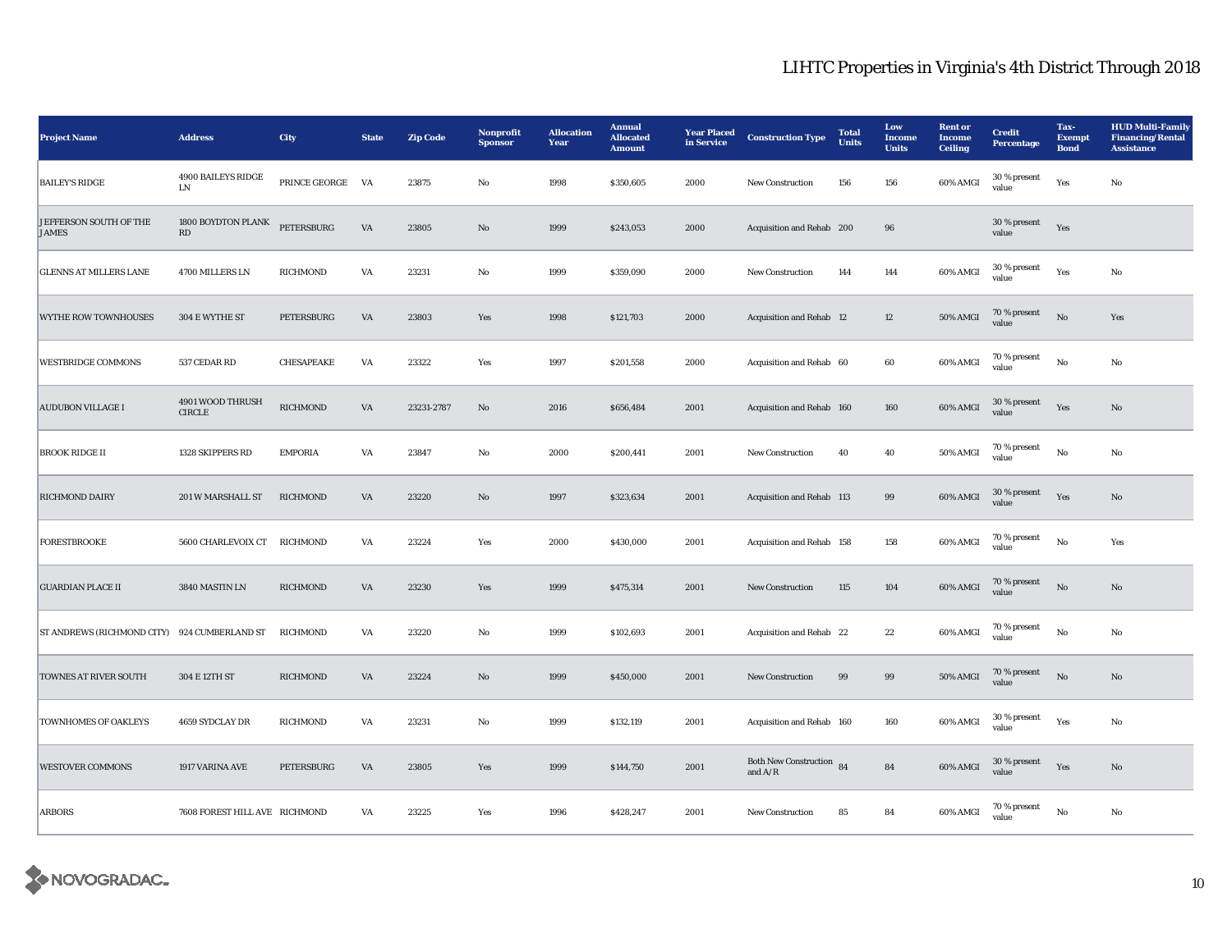| <b>Project Name</b>                    | <b>Address</b>                               | City            | <b>State</b> | <b>Zip Code</b> | Nonprofit<br><b>Sponsor</b> | <b>Allocation</b><br>Year | <b>Annual</b><br><b>Allocated</b><br><b>Amount</b> | <b>Year Placed</b><br>in Service | <b>Construction Type</b>                  | <b>Total</b><br><b>Units</b> | Low<br><b>Income</b><br><b>Units</b> | <b>Rent</b> or<br>Income<br><b>Ceiling</b> | <b>Credit</b><br><b>Percentage</b> | Tax-<br><b>Exempt</b><br><b>Bond</b> | <b>HUD Multi-Family</b><br><b>Financing/Rental</b><br><b>Assistance</b> |
|----------------------------------------|----------------------------------------------|-----------------|--------------|-----------------|-----------------------------|---------------------------|----------------------------------------------------|----------------------------------|-------------------------------------------|------------------------------|--------------------------------------|--------------------------------------------|------------------------------------|--------------------------------------|-------------------------------------------------------------------------|
| <b>BAILEY'S RIDGE</b>                  | 4900 BAILEYS RIDGE<br>LN                     | PRINCE GEORGE   | VA           | 23875           | No                          | 1998                      | \$350,605                                          | 2000                             | New Construction                          | 156                          | 156                                  | 60% AMGI                                   | $30\,\%$ present<br>value          | Yes                                  | No                                                                      |
| JEFFERSON SOUTH OF THE<br><b>JAMES</b> | 1800 BOYDTON PLANK<br>$\mathbf{R}\mathbf{D}$ | PETERSBURG      | VA           | 23805           | $\rm No$                    | 1999                      | \$243,053                                          | 2000                             | Acquisition and Rehab 200                 |                              | 96                                   |                                            | $30\,\%$ present<br>value          | Yes                                  |                                                                         |
| <b>GLENNS AT MILLERS LANE</b>          | 4700 MILLERS LN                              | RICHMOND        | VA           | 23231           | $_{\rm No}$                 | 1999                      | \$359,090                                          | 2000                             | <b>New Construction</b>                   | 144                          | 144                                  | 60% AMGI                                   | $30\,\%$ present<br>value          | Yes                                  | No                                                                      |
| <b>WYTHE ROW TOWNHOUSES</b>            | 304 E WYTHE ST                               | PETERSBURG      | VA           | 23803           | Yes                         | 1998                      | \$121,703                                          | 2000                             | Acquisition and Rehab 12                  |                              | 12                                   | <b>50% AMGI</b>                            | 70 % present<br>value              | $_{\rm No}$                          | Yes                                                                     |
| <b>WESTBRIDGE COMMONS</b>              | 537 CEDAR RD                                 | CHESAPEAKE      | VA           | 23322           | Yes                         | 1997                      | \$201,558                                          | 2000                             | Acquisition and Rehab 60                  |                              | 60                                   | 60% AMGI                                   | 70 % present<br>value              | No                                   | No                                                                      |
| <b>AUDUBON VILLAGE I</b>               | 4901 WOOD THRUSH<br><b>CIRCLE</b>            | <b>RICHMOND</b> | VA           | 23231-2787      | No                          | 2016                      | \$656,484                                          | 2001                             | Acquisition and Rehab 160                 |                              | 160                                  | 60% AMGI                                   | 30 % present<br>value              | Yes                                  | No                                                                      |
| <b>BROOK RIDGE II</b>                  | 1328 SKIPPERS RD                             | <b>EMPORIA</b>  | VA           | 23847           | $\mathbf{No}$               | 2000                      | \$200,441                                          | 2001                             | <b>New Construction</b>                   | 40                           | 40                                   | 50% AMGI                                   | 70 % present<br>value              | No                                   | No                                                                      |
| <b>RICHMOND DAIRY</b>                  | 201 W MARSHALL ST                            | RICHMOND        | VA           | 23220           | $\rm No$                    | 1997                      | \$323,634                                          | 2001                             | Acquisition and Rehab 113                 |                              | 99                                   | 60% AMGI                                   | 30 % present<br>value              | Yes                                  | No                                                                      |
| <b>FORESTBROOKE</b>                    | 5600 CHARLEVOIX CT RICHMOND                  |                 | VA           | 23224           | Yes                         | 2000                      | \$430,000                                          | 2001                             | Acquisition and Rehab 158                 |                              | 158                                  | 60% AMGI                                   | 70 % present<br>value              | $_{\rm No}$                          | Yes                                                                     |
| <b>GUARDIAN PLACE II</b>               | 3840 MASTIN LN                               | <b>RICHMOND</b> | VA           | 23230           | Yes                         | 1999                      | \$475,314                                          | 2001                             | New Construction                          | 115                          | 104                                  | 60% AMGI                                   | 70 % present<br>value              | $\mathbf{N}\mathbf{o}$               | No                                                                      |
| <b>ST ANDREWS (RICHMOND CITY)</b>      | 924 CUMBERLAND ST                            | RICHMOND        | VA           | 23220           | No                          | 1999                      | \$102,693                                          | 2001                             | Acquisition and Rehab 22                  |                              | 22                                   | 60% AMGI                                   | 70 % present<br>value              | No                                   | No                                                                      |
| <b>TOWNES AT RIVER SOUTH</b>           | 304 E 12TH ST                                | RICHMOND        | VA           | 23224           | No                          | 1999                      | \$450,000                                          | 2001                             | <b>New Construction</b>                   | 99                           | 99                                   | 50% AMGI                                   | 70 % present<br>value              | $_{\rm No}$                          | No                                                                      |
| TOWNHOMES OF OAKLEYS                   | 4659 SYDCLAY DR                              | RICHMOND        | VA           | 23231           | $\mathbf {No}$              | 1999                      | \$132,119                                          | 2001                             | Acquisition and Rehab 160                 |                              | 160                                  | 60% AMGI                                   | 30 % present<br>value              | Yes                                  | No                                                                      |
| <b>WESTOVER COMMONS</b>                | 1917 VARINA AVE                              | PETERSBURG      | VA           | 23805           | Yes                         | 1999                      | \$144,750                                          | 2001                             | Both New Construction 84<br>and $\rm A/R$ |                              | ${\bf 84}$                           | 60% AMGI                                   | $30$ % present<br>value            | Yes                                  | $\mathbf{N}\mathbf{o}$                                                  |
| <b>ARBORS</b>                          | 7608 FOREST HILL AVE RICHMOND                |                 | VA           | 23225           | Yes                         | 1996                      | \$428,247                                          | 2001                             | New Construction                          | 85                           | 84                                   | 60% AMGI                                   | 70 % present<br>value              | $\rm No$                             | $_{\rm No}$                                                             |

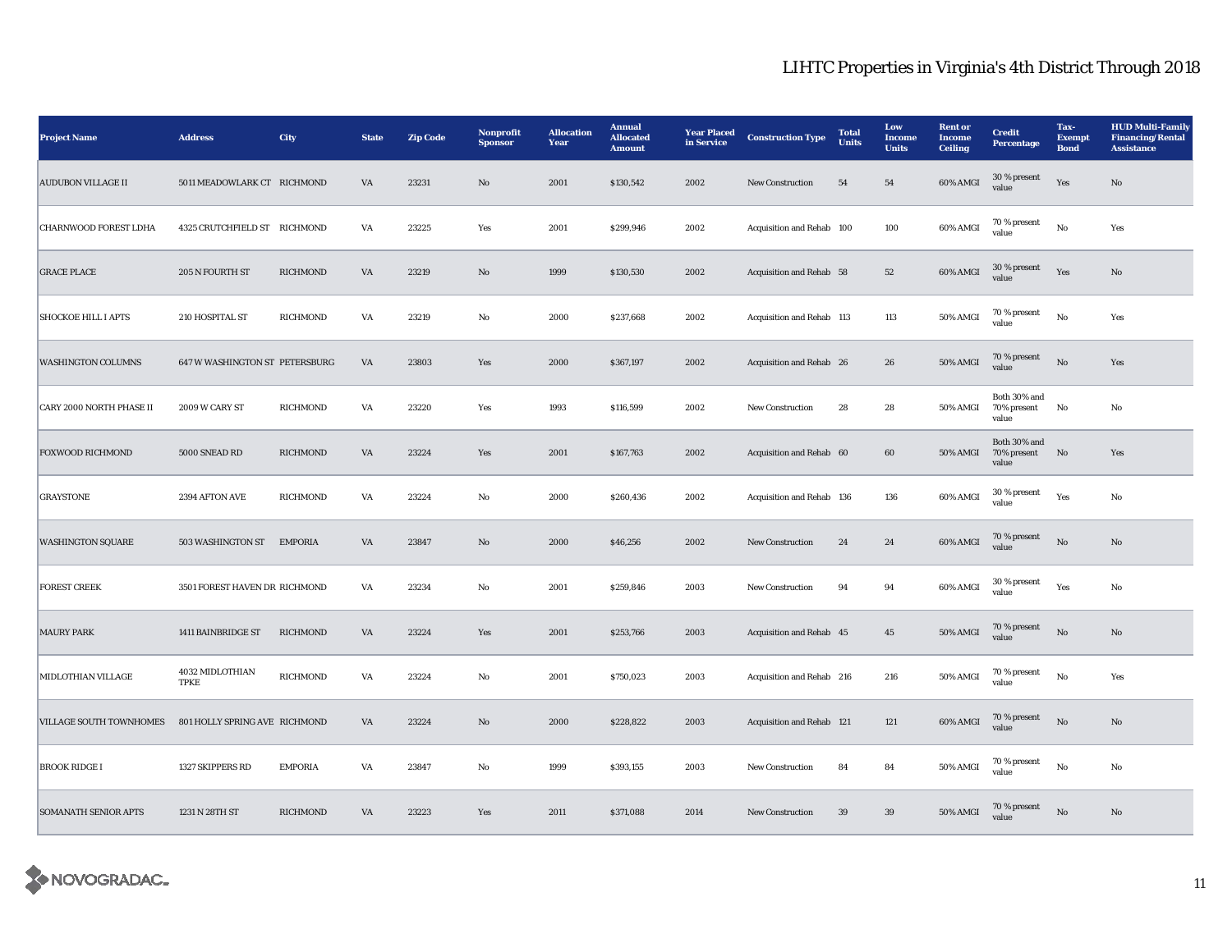| <b>Project Name</b>         | <b>Address</b>                 | City            | <b>State</b> | <b>Zip Code</b> | Nonprofit<br><b>Sponsor</b> | <b>Allocation</b><br>Year | <b>Annual</b><br><b>Allocated</b><br><b>Amount</b> | <b>Year Placed</b><br>in Service | <b>Construction Type</b>  | <b>Total</b><br>Units | Low<br>Income<br><b>Units</b> | <b>Rent</b> or<br><b>Income</b><br>Ceiling | <b>Credit</b><br>Percentage             | Tax-<br><b>Exempt</b><br><b>Bond</b> | <b>HUD Multi-Family</b><br><b>Financing/Rental</b><br><b>Assistance</b> |
|-----------------------------|--------------------------------|-----------------|--------------|-----------------|-----------------------------|---------------------------|----------------------------------------------------|----------------------------------|---------------------------|-----------------------|-------------------------------|--------------------------------------------|-----------------------------------------|--------------------------------------|-------------------------------------------------------------------------|
| <b>AUDUBON VILLAGE II</b>   | 5011 MEADOWLARK CT RICHMOND    |                 | VA           | 23231           | No                          | 2001                      | \$130,542                                          | 2002                             | <b>New Construction</b>   | 54                    | 54                            | 60% AMGI                                   | 30 % present<br>value                   | Yes                                  | No                                                                      |
| CHARNWOOD FOREST LDHA       | 4325 CRUTCHFIELD ST RICHMOND   |                 | VA           | 23225           | Yes                         | 2001                      | \$299,946                                          | 2002                             | Acquisition and Rehab 100 |                       | 100                           | 60% AMGI                                   | 70 % present<br>value                   | No                                   | Yes                                                                     |
| <b>GRACE PLACE</b>          | 205 N FOURTH ST                | RICHMOND        | VA           | 23219           | $\mathbf{No}$               | 1999                      | \$130,530                                          | 2002                             | Acquisition and Rehab 58  |                       | 52                            | 60% AMGI                                   | 30 % present<br>value                   | Yes                                  | $\mathbf{No}$                                                           |
| <b>SHOCKOE HILL I APTS</b>  | 210 HOSPITAL ST                | RICHMOND        | VA           | 23219           | No                          | 2000                      | \$237,668                                          | 2002                             | Acquisition and Rehab 113 |                       | 113                           | 50% AMGI                                   | 70 % present<br>value                   | $_{\rm No}$                          | Yes                                                                     |
| <b>WASHINGTON COLUMNS</b>   | 647 W WASHINGTON ST PETERSBURG |                 | VA           | 23803           | Yes                         | 2000                      | \$367,197                                          | 2002                             | Acquisition and Rehab 26  |                       | 26                            | 50% AMGI                                   | 70 % present<br>value                   | $_{\rm No}$                          | Yes                                                                     |
| CARY 2000 NORTH PHASE II    | 2009 W CARY ST                 | RICHMOND        | VA           | 23220           | Yes                         | 1993                      | \$116,599                                          | 2002                             | New Construction          | 28                    | 28                            | 50% AMGI                                   | Both 30% and<br>70% present<br>value    | No                                   | No                                                                      |
| <b>FOXWOOD RICHMOND</b>     | 5000 SNEAD RD                  | <b>RICHMOND</b> | VA           | 23224           | Yes                         | 2001                      | \$167,763                                          | 2002                             | Acquisition and Rehab 60  |                       | 60                            | 50% AMGI                                   | Both 30% and<br>70% present No<br>value |                                      | Yes                                                                     |
| <b>GRAYSTONE</b>            | 2394 AFTON AVE                 | RICHMOND        | VA           | 23224           | No                          | 2000                      | \$260,436                                          | 2002                             | Acquisition and Rehab 136 |                       | 136                           | 60% AMGI                                   | 30 % present<br>value                   | Yes                                  | No                                                                      |
| <b>WASHINGTON SQUARE</b>    | 503 WASHINGTON ST              | <b>EMPORIA</b>  | VA           | 23847           | $\mathbf{No}$               | 2000                      | \$46,256                                           | 2002                             | New Construction          | 24                    | 24                            | 60% AMGI                                   | 70 % present<br>value                   | $_{\rm No}$                          | $\mathbf{No}$                                                           |
| <b>FOREST CREEK</b>         | 3501 FOREST HAVEN DR RICHMOND  |                 | VA           | 23234           | No                          | 2001                      | \$259,846                                          | 2003                             | <b>New Construction</b>   | 94                    | 94                            | 60% AMGI                                   | 30 % present<br>value                   | Yes                                  | No                                                                      |
| <b>MAURY PARK</b>           | 1411 BAINBRIDGE ST             | <b>RICHMOND</b> | VA           | 23224           | Yes                         | 2001                      | \$253,766                                          | 2003                             | Acquisition and Rehab 45  |                       | 45                            | <b>50% AMGI</b>                            | 70 % present<br>value                   | No                                   | $\rm No$                                                                |
| MIDLOTHIAN VILLAGE          | 4032 MIDLOTHIAN<br><b>TPKE</b> | RICHMOND        | VA           | 23224           | No                          | 2001                      | \$750,023                                          | 2003                             | Acquisition and Rehab 216 |                       | 216                           | 50% AMGI                                   | 70 % present<br>value                   | $_{\rm No}$                          | Yes                                                                     |
| VILLAGE SOUTH TOWNHOMES     | 801 HOLLY SPRING AVE RICHMOND  |                 | VA           | 23224           | $\mathbf{N}\mathbf{o}$      | 2000                      | \$228,822                                          | 2003                             | Acquisition and Rehab 121 |                       | 121                           | $60\%$ AMGI                                | 70 % present<br>value                   | No                                   | $\mathbf{No}$                                                           |
| <b>BROOK RIDGE I</b>        | 1327 SKIPPERS RD               | <b>EMPORIA</b>  | VA           | 23847           | No                          | 1999                      | \$393,155                                          | 2003                             | <b>New Construction</b>   | 84                    | 84                            | 50% AMGI                                   | 70 % present<br>value                   | No                                   | $_{\rm No}$                                                             |
| <b>SOMANATH SENIOR APTS</b> | 1231 N 28TH ST                 | <b>RICHMOND</b> | VA           | 23223           | Yes                         | 2011                      | \$371,088                                          | 2014                             | <b>New Construction</b>   | 39                    | 39                            | 50% AMGI                                   | 70 % present<br>value                   | No                                   | No                                                                      |

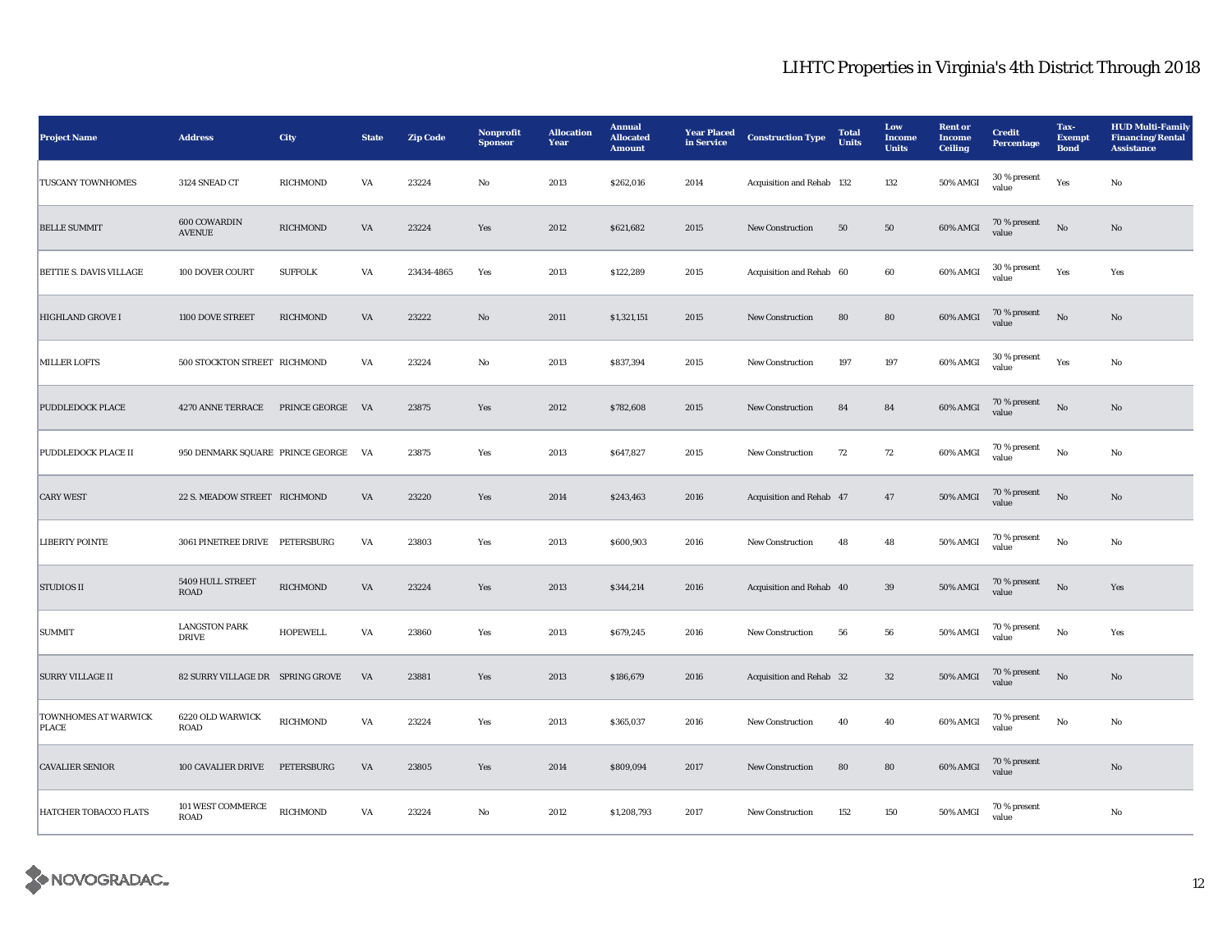| <b>Project Name</b>                         | <b>Address</b>                       | City            | <b>State</b> | <b>Zip Code</b> | Nonprofit<br><b>Sponsor</b> | <b>Allocation</b><br>Year | <b>Annual</b><br><b>Allocated</b><br><b>Amount</b> | <b>Year Placed</b><br>in Service | <b>Construction Type</b>  | <b>Total</b><br><b>Units</b> | Low<br><b>Income</b><br><b>Units</b> | <b>Rent</b> or<br>Income<br><b>Ceiling</b> | <b>Credit</b><br>Percentage | Tax-<br><b>Exempt</b><br><b>Bond</b> | <b>HUD Multi-Family</b><br><b>Financing/Rental</b><br><b>Assistance</b> |
|---------------------------------------------|--------------------------------------|-----------------|--------------|-----------------|-----------------------------|---------------------------|----------------------------------------------------|----------------------------------|---------------------------|------------------------------|--------------------------------------|--------------------------------------------|-----------------------------|--------------------------------------|-------------------------------------------------------------------------|
| <b>TUSCANY TOWNHOMES</b>                    | 3124 SNEAD CT                        | RICHMOND        | VA           | 23224           | No                          | 2013                      | \$262,016                                          | 2014                             | Acquisition and Rehab 132 |                              | 132                                  | 50% AMGI                                   | 30 % present<br>value       | Yes                                  | No                                                                      |
| <b>BELLE SUMMIT</b>                         | 600 COWARDIN<br><b>AVENUE</b>        | RICHMOND        | VA           | 23224           | Yes                         | 2012                      | \$621,682                                          | 2015                             | <b>New Construction</b>   | 50                           | 50                                   | 60% AMGI                                   | 70 % present<br>value       | $\mathbf{N}\mathbf{o}$               | No                                                                      |
| <b>BETTIE S. DAVIS VILLAGE</b>              | 100 DOVER COURT                      | <b>SUFFOLK</b>  | VA           | 23434-4865      | Yes                         | 2013                      | \$122,289                                          | 2015                             | Acquisition and Rehab 60  |                              | 60                                   | 60% AMGI                                   | 30 % present<br>value       | Yes                                  | Yes                                                                     |
| <b>HIGHLAND GROVE I</b>                     | 1100 DOVE STREET                     | <b>RICHMOND</b> | VA           | 23222           | No                          | 2011                      | \$1,321,151                                        | 2015                             | New Construction          | 80                           | ${\bf 80}$                           | 60% AMGI                                   | 70 % present<br>value       | No                                   | No                                                                      |
| MILLER LOFTS                                | 500 STOCKTON STREET RICHMOND         |                 | VA           | 23224           | No                          | 2013                      | \$837,394                                          | 2015                             | <b>New Construction</b>   | 197                          | 197                                  | 60% AMGI                                   | $30$ % present<br>value     | Yes                                  | No                                                                      |
| PUDDLEDOCK PLACE                            | 4270 ANNE TERRACE PRINCE GEORGE VA   |                 |              | 23875           | Yes                         | 2012                      | \$782,608                                          | 2015                             | New Construction          | 84                           | ${\bf 84}$                           | 60% AMGI                                   | 70 % present<br>value       | $_{\rm No}$                          | No                                                                      |
| PUDDLEDOCK PLACE II                         | 950 DENMARK SQUARE PRINCE GEORGE VA  |                 |              | 23875           | Yes                         | 2013                      | \$647,827                                          | 2015                             | <b>New Construction</b>   | 72                           | 72                                   | 60% AMGI                                   | 70 % present<br>value       | $_{\rm No}$                          | No                                                                      |
| <b>CARY WEST</b>                            | 22 S. MEADOW STREET RICHMOND         |                 | VA           | 23220           | Yes                         | 2014                      | \$243,463                                          | 2016                             | Acquisition and Rehab 47  |                              | 47                                   | 50% AMGI                                   | 70 % present<br>value       | $\mathbf{N}\mathbf{o}$               | No                                                                      |
| <b>LIBERTY POINTE</b>                       | 3061 PINETREE DRIVE PETERSBURG       |                 | VA           | 23803           | Yes                         | 2013                      | \$600,903                                          | 2016                             | <b>New Construction</b>   | 48                           | 48                                   | 50% AMGI                                   | 70 % present<br>value       | No                                   | No                                                                      |
| <b>STUDIOS II</b>                           | 5409 HULL STREET<br>ROAD             | RICHMOND        | VA           | 23224           | Yes                         | 2013                      | \$344,214                                          | 2016                             | Acquisition and Rehab 40  |                              | 39                                   | 50% AMGI                                   | 70 % present<br>value       | No                                   | Yes                                                                     |
| <b>SUMMIT</b>                               | <b>LANGSTON PARK</b><br><b>DRIVE</b> | HOPEWELL        | VA           | 23860           | Yes                         | 2013                      | \$679,245                                          | 2016                             | <b>New Construction</b>   | 56                           | 56                                   | 50% AMGI                                   | 70 % present<br>value       | $_{\rm No}$                          | Yes                                                                     |
| <b>SURRY VILLAGE II</b>                     | 82 SURRY VILLAGE DR SPRING GROVE     |                 | VA           | 23881           | Yes                         | 2013                      | \$186,679                                          | 2016                             | Acquisition and Rehab 32  |                              | $32\,$                               | 50% AMGI                                   | $70\,\%$ present<br>value   | $\mathbf{N}\mathbf{o}$               | No                                                                      |
| <b>TOWNHOMES AT WARWICK</b><br><b>PLACE</b> | 6220 OLD WARWICK<br><b>ROAD</b>      | RICHMOND        | VA           | 23224           | Yes                         | 2013                      | \$365,037                                          | 2016                             | <b>New Construction</b>   | 40                           | 40                                   | 60% AMGI                                   | 70 % present<br>value       | $_{\rm No}$                          | No                                                                      |
| <b>CAVALIER SENIOR</b>                      | 100 CAVALIER DRIVE                   | PETERSBURG      | VA           | 23805           | Yes                         | 2014                      | \$809,094                                          | 2017                             | <b>New Construction</b>   | 80                           | 80                                   | 60% AMGI                                   | 70 % present<br>value       |                                      | $\mathbf{N}\mathbf{o}$                                                  |
| HATCHER TOBACCO FLATS                       | 101 WEST COMMERCE<br>ROAD            | <b>RICHMOND</b> | VA           | 23224           | No                          | 2012                      | \$1,208,793                                        | 2017                             | <b>New Construction</b>   | 152                          | 150                                  | 50% AMGI                                   | 70 % present<br>value       |                                      | No                                                                      |